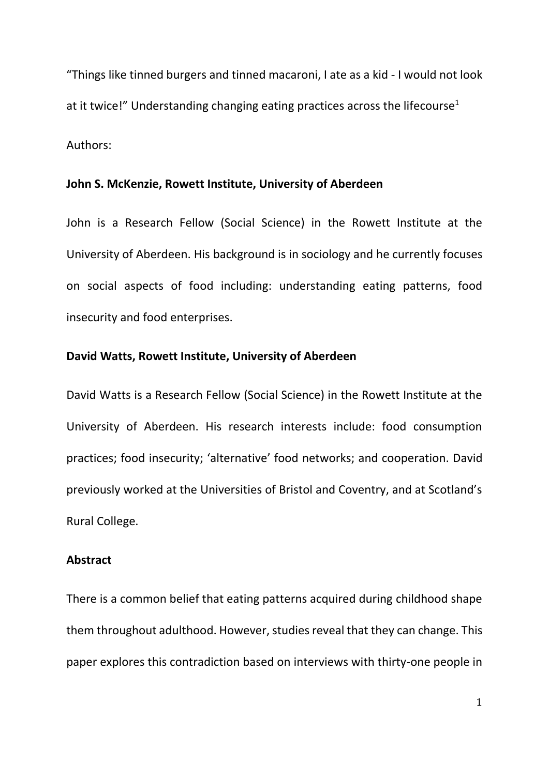"Things like tinned burgers and tinned macaroni, I ate as a kid - I would not look at it twice!" Understanding changing eating practices across the lifecourse<sup>1</sup> Authors:

#### **John S. McKenzie, Rowett Institute, University of Aberdeen**

John is a Research Fellow (Social Science) in the Rowett Institute at the University of Aberdeen. His background is in sociology and he currently focuses on social aspects of food including: understanding eating patterns, food insecurity and food enterprises.

#### **David Watts, Rowett Institute, University of Aberdeen**

David Watts is a Research Fellow (Social Science) in the Rowett Institute at the University of Aberdeen. His research interests include: food consumption practices; food insecurity; 'alternative' food networks; and cooperation. David previously worked at the Universities of Bristol and Coventry, and at Scotland's Rural College.

# **Abstract**

There is a common belief that eating patterns acquired during childhood shape them throughout adulthood. However, studies reveal that they can change. This paper explores this contradiction based on interviews with thirty-one people in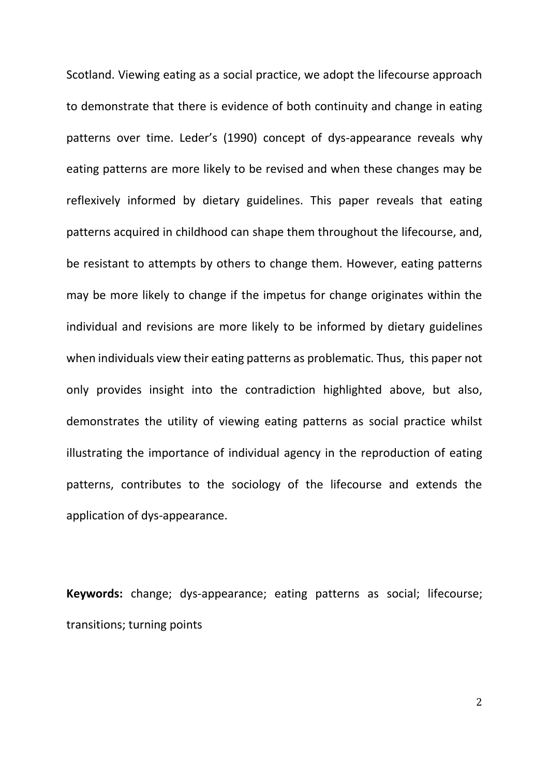Scotland. Viewing eating as a social practice, we adopt the lifecourse approach to demonstrate that there is evidence of both continuity and change in eating patterns over time. Leder's (1990) concept of dys-appearance reveals why eating patterns are more likely to be revised and when these changes may be reflexively informed by dietary guidelines. This paper reveals that eating patterns acquired in childhood can shape them throughout the lifecourse, and, be resistant to attempts by others to change them. However, eating patterns may be more likely to change if the impetus for change originates within the individual and revisions are more likely to be informed by dietary guidelines when individuals view their eating patterns as problematic. Thus, this paper not only provides insight into the contradiction highlighted above, but also, demonstrates the utility of viewing eating patterns as social practice whilst illustrating the importance of individual agency in the reproduction of eating patterns, contributes to the sociology of the lifecourse and extends the application of dys-appearance.

**Keywords:** change; dys-appearance; eating patterns as social; lifecourse; transitions; turning points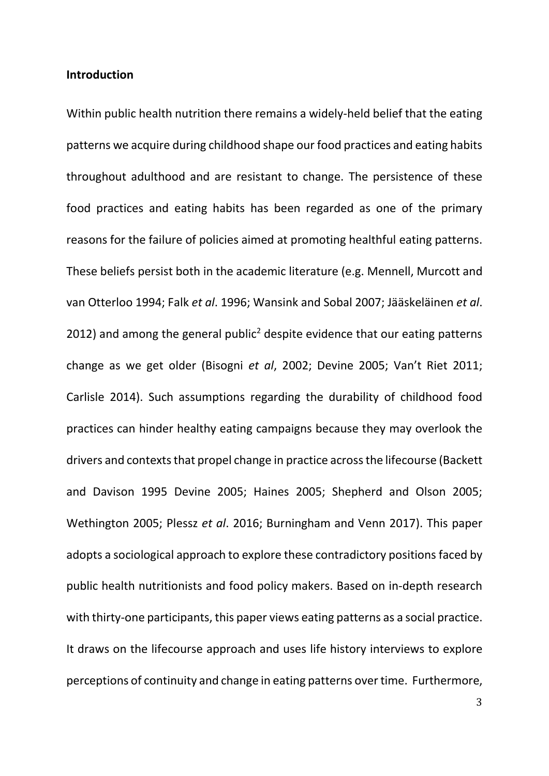### **Introduction**

Within public health nutrition there remains a widely-held belief that the eating patterns we acquire during childhood shape our food practices and eating habits throughout adulthood and are resistant to change. The persistence of these food practices and eating habits has been regarded as one of the primary reasons for the failure of policies aimed at promoting healthful eating patterns. These beliefs persist both in the academic literature (e.g. Mennell, Murcott and van Otterloo 1994; Falk *et al*. 1996; Wansink and Sobal 2007; Jääskeläinen *et al*. 2012) and among the general public<sup>2</sup> despite evidence that our eating patterns change as we get older (Bisogni *et al*, 2002; Devine 2005; Van't Riet 2011; Carlisle 2014). Such assumptions regarding the durability of childhood food practices can hinder healthy eating campaigns because they may overlook the drivers and contexts that propel change in practice across the lifecourse (Backett and Davison 1995 Devine 2005; Haines 2005; Shepherd and Olson 2005; Wethington 2005; Plessz *et al*. 2016; Burningham and Venn 2017). This paper adopts a sociological approach to explore these contradictory positionsfaced by public health nutritionists and food policy makers. Based on in-depth research with thirty-one participants, this paper views eating patterns as a social practice. It draws on the lifecourse approach and uses life history interviews to explore perceptions of continuity and change in eating patterns over time. Furthermore,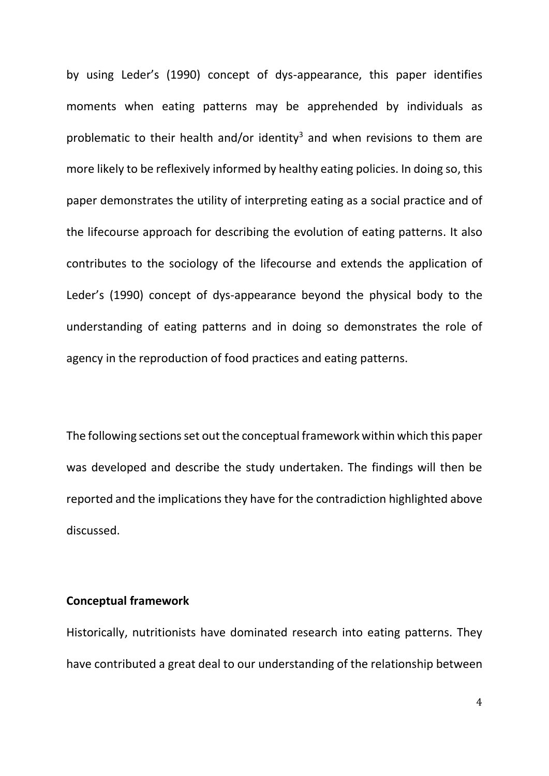by using Leder's (1990) concept of dys-appearance, this paper identifies moments when eating patterns may be apprehended by individuals as problematic to their health and/or identity<sup>3</sup> and when revisions to them are more likely to be reflexively informed by healthy eating policies. In doing so, this paper demonstrates the utility of interpreting eating as a social practice and of the lifecourse approach for describing the evolution of eating patterns. It also contributes to the sociology of the lifecourse and extends the application of Leder's (1990) concept of dys-appearance beyond the physical body to the understanding of eating patterns and in doing so demonstrates the role of agency in the reproduction of food practices and eating patterns.

The following sections set out the conceptual framework within which this paper was developed and describe the study undertaken. The findings will then be reported and the implications they have for the contradiction highlighted above discussed.

#### **Conceptual framework**

Historically, nutritionists have dominated research into eating patterns. They have contributed a great deal to our understanding of the relationship between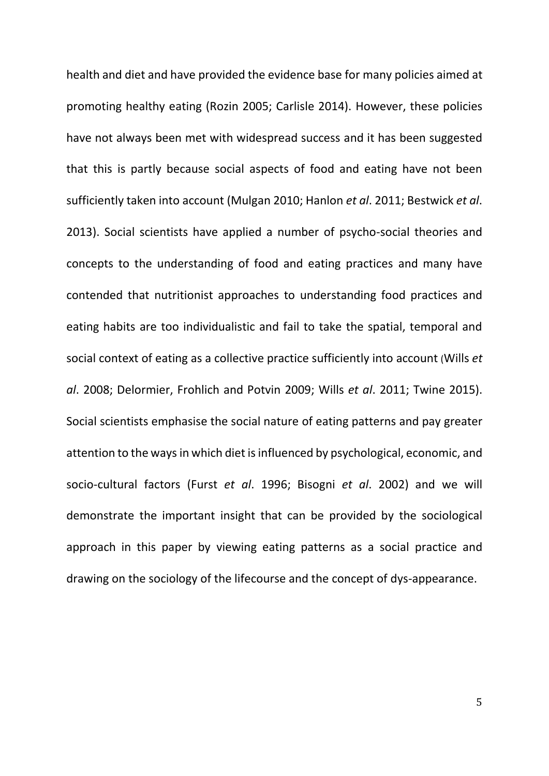health and diet and have provided the evidence base for many policies aimed at promoting healthy eating (Rozin 2005; Carlisle 2014). However, these policies have not always been met with widespread success and it has been suggested that this is partly because social aspects of food and eating have not been sufficiently taken into account (Mulgan 2010; Hanlon *et al*. 2011; Bestwick *et al*. 2013). Social scientists have applied a number of psycho-social theories and concepts to the understanding of food and eating practices and many have contended that nutritionist approaches to understanding food practices and eating habits are too individualistic and fail to take the spatial, temporal and social context of eating as a collective practice sufficiently into account (Wills *et al*. 2008; Delormier, Frohlich and Potvin 2009; Wills *et al*. 2011; Twine 2015). Social scientists emphasise the social nature of eating patterns and pay greater attention to the ways in which diet is influenced by psychological, economic, and socio-cultural factors (Furst *et al*. 1996; Bisogni *et al*. 2002) and we will demonstrate the important insight that can be provided by the sociological approach in this paper by viewing eating patterns as a social practice and drawing on the sociology of the lifecourse and the concept of dys-appearance.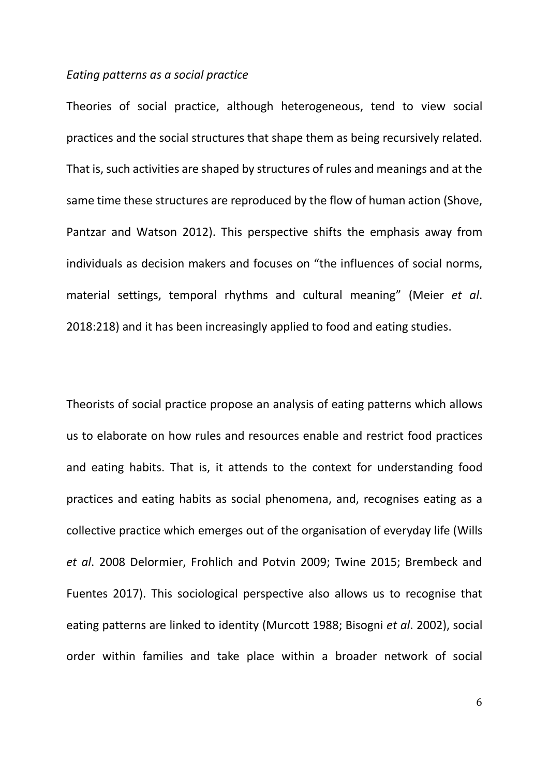## *Eating patterns as a social practice*

Theories of social practice, although heterogeneous, tend to view social practices and the social structures that shape them as being recursively related. That is, such activities are shaped by structures of rules and meanings and at the same time these structures are reproduced by the flow of human action (Shove, Pantzar and Watson 2012). This perspective shifts the emphasis away from individuals as decision makers and focuses on "the influences of social norms, material settings, temporal rhythms and cultural meaning" (Meier *et al*. 2018:218) and it has been increasingly applied to food and eating studies.

Theorists of social practice propose an analysis of eating patterns which allows us to elaborate on how rules and resources enable and restrict food practices and eating habits. That is, it attends to the context for understanding food practices and eating habits as social phenomena, and, recognises eating as a collective practice which emerges out of the organisation of everyday life (Wills *et al*. 2008 Delormier, Frohlich and Potvin 2009; Twine 2015; Brembeck and Fuentes 2017). This sociological perspective also allows us to recognise that eating patterns are linked to identity (Murcott 1988; Bisogni *et al*. 2002), social order within families and take place within a broader network of social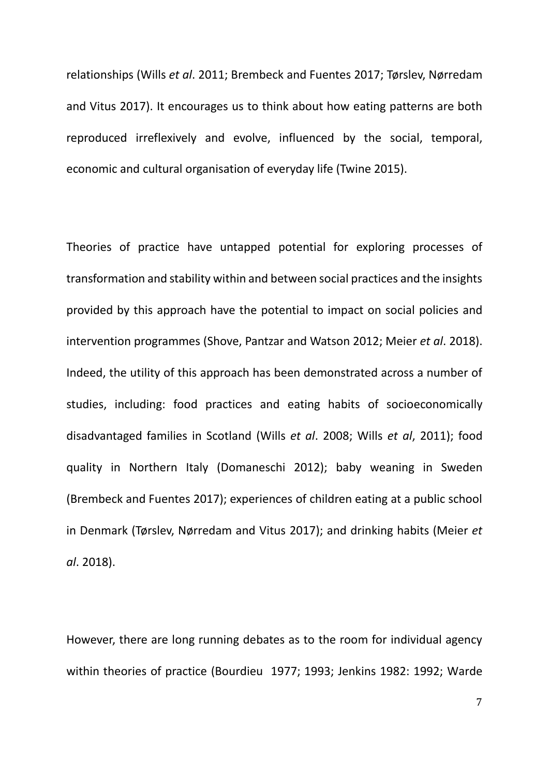relationships (Wills *et al*. 2011; Brembeck and Fuentes 2017; Tørslev, Nørredam and Vitus 2017). It encourages us to think about how eating patterns are both reproduced irreflexively and evolve, influenced by the social, temporal, economic and cultural organisation of everyday life (Twine 2015).

Theories of practice have untapped potential for exploring processes of transformation and stability within and between social practices and the insights provided by this approach have the potential to impact on social policies and intervention programmes (Shove, Pantzar and Watson 2012; Meier *et al*. 2018). Indeed, the utility of this approach has been demonstrated across a number of studies, including: food practices and eating habits of socioeconomically disadvantaged families in Scotland (Wills *et al*. 2008; Wills *et al*, 2011); food quality in Northern Italy (Domaneschi 2012); baby weaning in Sweden (Brembeck and Fuentes 2017); experiences of children eating at a public school in Denmark (Tørslev, Nørredam and Vitus 2017); and drinking habits (Meier *et al*. 2018).

However, there are long running debates as to the room for individual agency within theories of practice (Bourdieu 1977; 1993; Jenkins 1982: 1992; Warde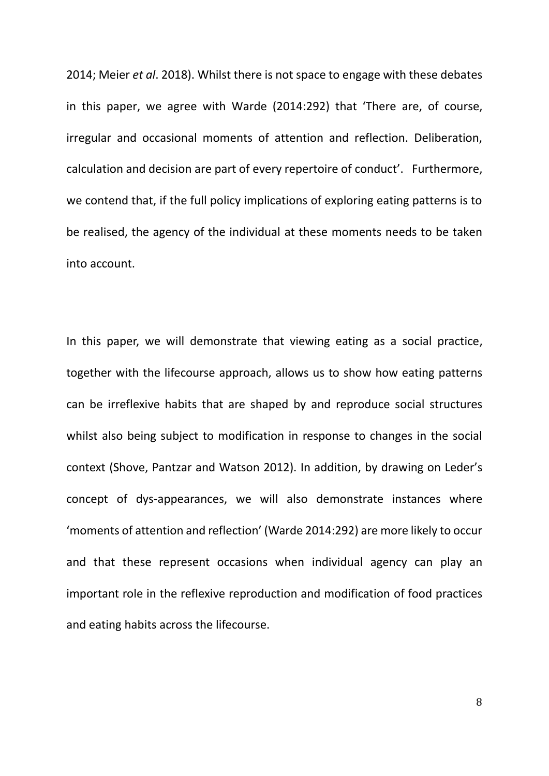2014; Meier *et al*. 2018). Whilst there is not space to engage with these debates in this paper, we agree with Warde (2014:292) that 'There are, of course, irregular and occasional moments of attention and reflection. Deliberation, calculation and decision are part of every repertoire of conduct'. Furthermore, we contend that, if the full policy implications of exploring eating patterns is to be realised, the agency of the individual at these moments needs to be taken into account.

In this paper, we will demonstrate that viewing eating as a social practice, together with the lifecourse approach, allows us to show how eating patterns can be irreflexive habits that are shaped by and reproduce social structures whilst also being subject to modification in response to changes in the social context (Shove, Pantzar and Watson 2012). In addition, by drawing on Leder's concept of dys-appearances, we will also demonstrate instances where 'moments of attention and reflection' (Warde 2014:292) are more likely to occur and that these represent occasions when individual agency can play an important role in the reflexive reproduction and modification of food practices and eating habits across the lifecourse.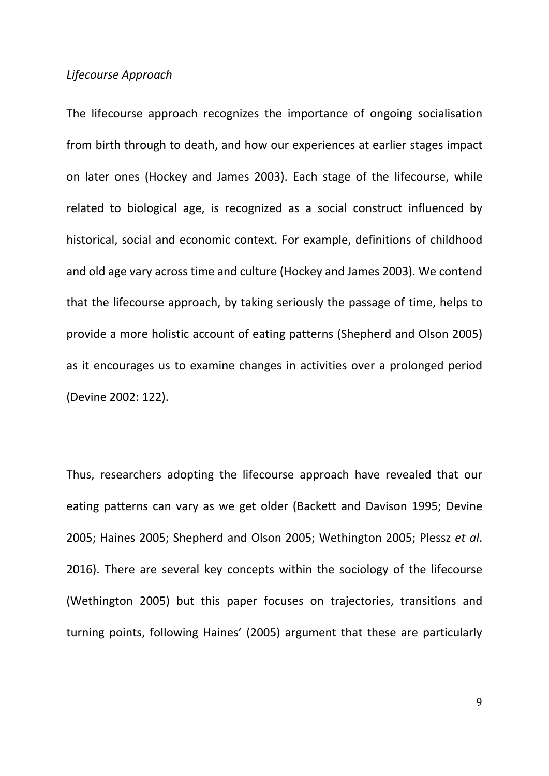#### *Lifecourse Approach*

The lifecourse approach recognizes the importance of ongoing socialisation from birth through to death, and how our experiences at earlier stages impact on later ones (Hockey and James 2003). Each stage of the lifecourse, while related to biological age, is recognized as a social construct influenced by historical, social and economic context. For example, definitions of childhood and old age vary across time and culture (Hockey and James 2003). We contend that the lifecourse approach, by taking seriously the passage of time, helps to provide a more holistic account of eating patterns (Shepherd and Olson 2005) as it encourages us to examine changes in activities over a prolonged period (Devine 2002: 122).

Thus, researchers adopting the lifecourse approach have revealed that our eating patterns can vary as we get older (Backett and Davison 1995; Devine 2005; Haines 2005; Shepherd and Olson 2005; Wethington 2005; Plessz *et al*. 2016). There are several key concepts within the sociology of the lifecourse (Wethington 2005) but this paper focuses on trajectories, transitions and turning points, following Haines' (2005) argument that these are particularly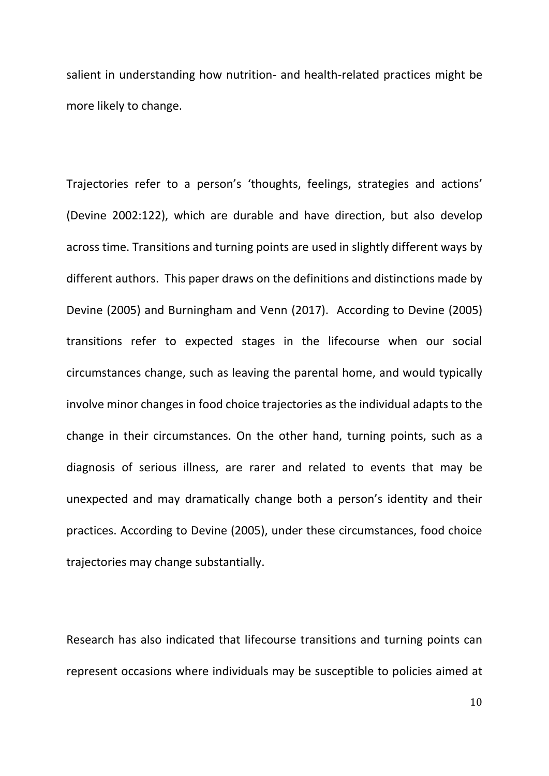salient in understanding how nutrition- and health-related practices might be more likely to change.

Trajectories refer to a person's 'thoughts, feelings, strategies and actions' (Devine 2002:122), which are durable and have direction, but also develop across time. Transitions and turning points are used in slightly different ways by different authors. This paper draws on the definitions and distinctions made by Devine (2005) and Burningham and Venn (2017). According to Devine (2005) transitions refer to expected stages in the lifecourse when our social circumstances change, such as leaving the parental home, and would typically involve minor changes in food choice trajectories as the individual adapts to the change in their circumstances. On the other hand, turning points, such as a diagnosis of serious illness, are rarer and related to events that may be unexpected and may dramatically change both a person's identity and their practices. According to Devine (2005), under these circumstances, food choice trajectories may change substantially.

Research has also indicated that lifecourse transitions and turning points can represent occasions where individuals may be susceptible to policies aimed at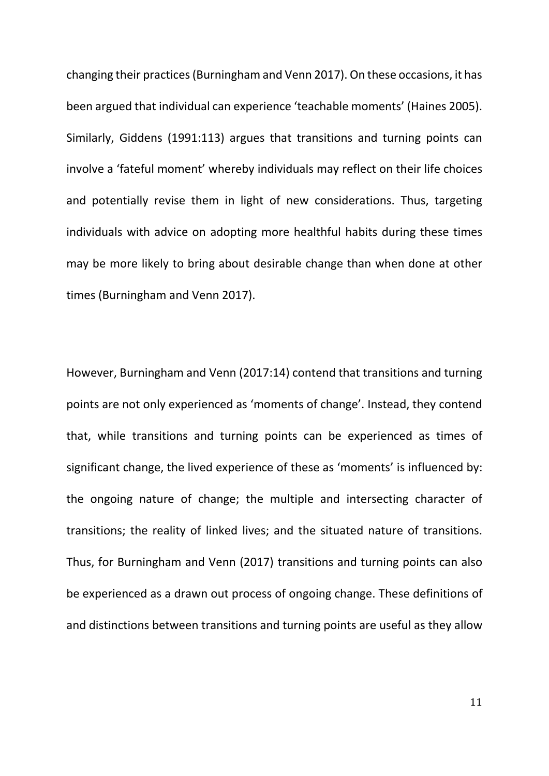changing their practices(Burningham and Venn 2017). On these occasions, it has been argued that individual can experience 'teachable moments' (Haines 2005). Similarly, Giddens (1991:113) argues that transitions and turning points can involve a 'fateful moment' whereby individuals may reflect on their life choices and potentially revise them in light of new considerations. Thus, targeting individuals with advice on adopting more healthful habits during these times may be more likely to bring about desirable change than when done at other times (Burningham and Venn 2017).

However, Burningham and Venn (2017:14) contend that transitions and turning points are not only experienced as 'moments of change'. Instead, they contend that, while transitions and turning points can be experienced as times of significant change, the lived experience of these as 'moments' is influenced by: the ongoing nature of change; the multiple and intersecting character of transitions; the reality of linked lives; and the situated nature of transitions. Thus, for Burningham and Venn (2017) transitions and turning points can also be experienced as a drawn out process of ongoing change. These definitions of and distinctions between transitions and turning points are useful as they allow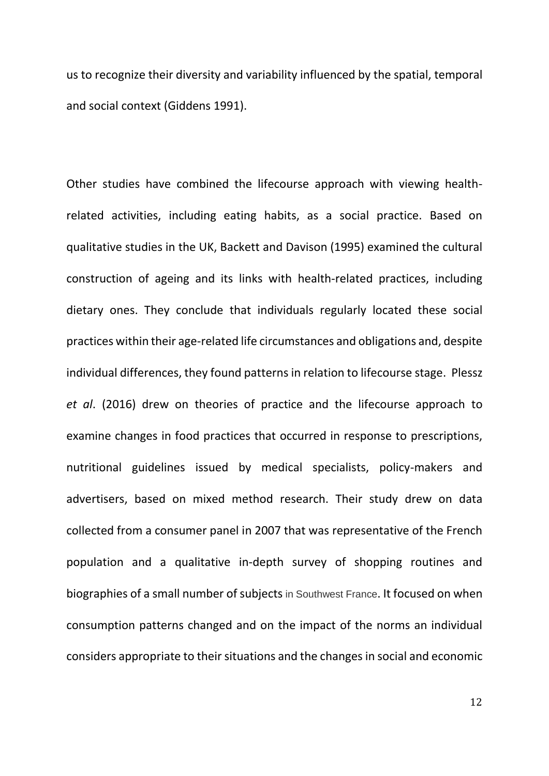us to recognize their diversity and variability influenced by the spatial, temporal and social context (Giddens 1991).

Other studies have combined the lifecourse approach with viewing healthrelated activities, including eating habits, as a social practice. Based on qualitative studies in the UK, Backett and Davison (1995) examined the cultural construction of ageing and its links with health-related practices, including dietary ones. They conclude that individuals regularly located these social practices within their age-related life circumstances and obligations and, despite individual differences, they found patterns in relation to lifecourse stage. Plessz *et al*. (2016) drew on theories of practice and the lifecourse approach to examine changes in food practices that occurred in response to prescriptions, nutritional guidelines issued by medical specialists, policy-makers and advertisers, based on mixed method research. Their study drew on data collected from a consumer panel in 2007 that was representative of the French population and a qualitative in-depth survey of shopping routines and biographies of a small number of subjects in Southwest France. It focused on when consumption patterns changed and on the impact of the norms an individual considers appropriate to their situations and the changes in social and economic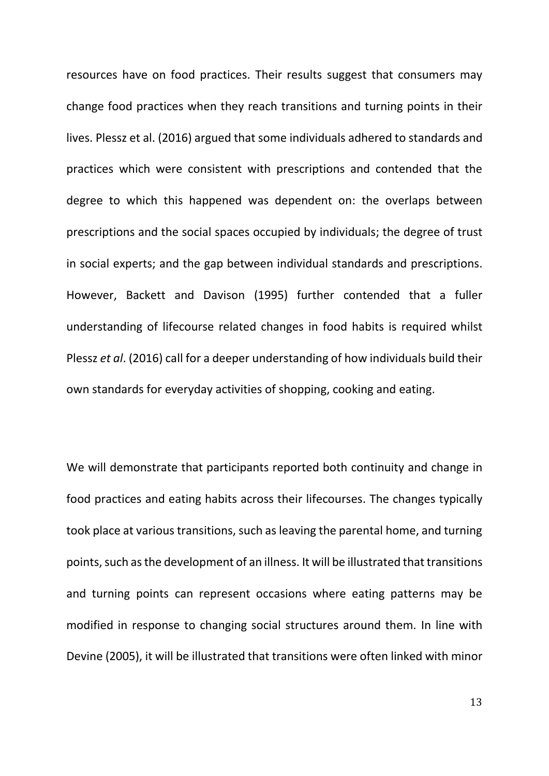resources have on food practices. Their results suggest that consumers may change food practices when they reach transitions and turning points in their lives. Plessz et al. (2016) argued that some individuals adhered to standards and practices which were consistent with prescriptions and contended that the degree to which this happened was dependent on: the overlaps between prescriptions and the social spaces occupied by individuals; the degree of trust in social experts; and the gap between individual standards and prescriptions. However, Backett and Davison (1995) further contended that a fuller understanding of lifecourse related changes in food habits is required whilst Plessz *et al*. (2016) call for a deeper understanding of how individuals build their own standards for everyday activities of shopping, cooking and eating.

We will demonstrate that participants reported both continuity and change in food practices and eating habits across their lifecourses. The changes typically took place at various transitions, such as leaving the parental home, and turning points, such as the development of an illness. It will be illustrated that transitions and turning points can represent occasions where eating patterns may be modified in response to changing social structures around them. In line with Devine (2005), it will be illustrated that transitions were often linked with minor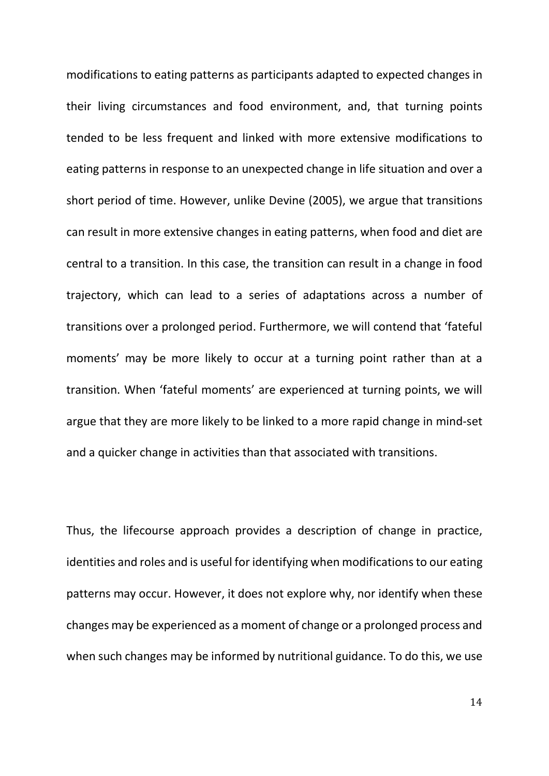modifications to eating patterns as participants adapted to expected changes in their living circumstances and food environment, and, that turning points tended to be less frequent and linked with more extensive modifications to eating patterns in response to an unexpected change in life situation and over a short period of time. However, unlike Devine (2005), we argue that transitions can result in more extensive changes in eating patterns, when food and diet are central to a transition. In this case, the transition can result in a change in food trajectory, which can lead to a series of adaptations across a number of transitions over a prolonged period. Furthermore, we will contend that 'fateful moments' may be more likely to occur at a turning point rather than at a transition. When 'fateful moments' are experienced at turning points, we will argue that they are more likely to be linked to a more rapid change in mind-set and a quicker change in activities than that associated with transitions.

Thus, the lifecourse approach provides a description of change in practice, identities and roles and is useful for identifying when modifications to our eating patterns may occur. However, it does not explore why, nor identify when these changes may be experienced as a moment of change or a prolonged process and when such changes may be informed by nutritional guidance. To do this, we use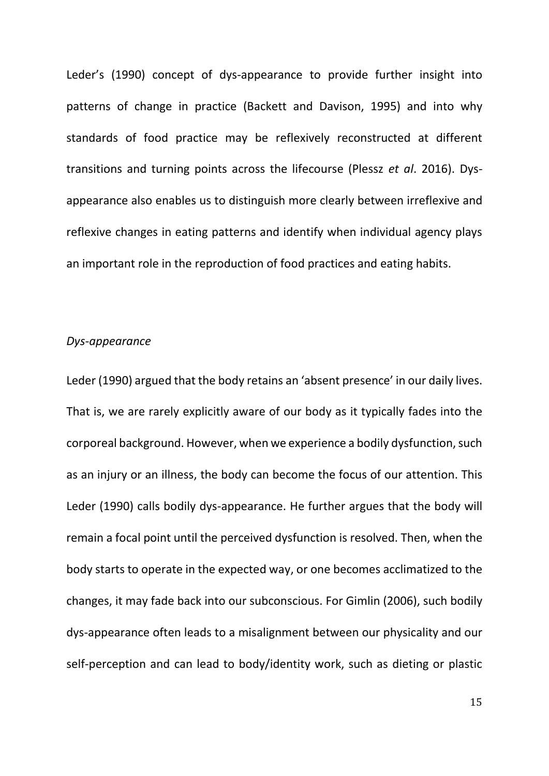Leder's (1990) concept of dys-appearance to provide further insight into patterns of change in practice (Backett and Davison, 1995) and into why standards of food practice may be reflexively reconstructed at different transitions and turning points across the lifecourse (Plessz *et al*. 2016). Dysappearance also enables us to distinguish more clearly between irreflexive and reflexive changes in eating patterns and identify when individual agency plays an important role in the reproduction of food practices and eating habits.

#### *Dys-appearance*

Leder (1990) argued that the body retains an 'absent presence' in our daily lives. That is, we are rarely explicitly aware of our body as it typically fades into the corporeal background. However, when we experience a bodily dysfunction, such as an injury or an illness, the body can become the focus of our attention. This Leder (1990) calls bodily dys-appearance. He further argues that the body will remain a focal point until the perceived dysfunction is resolved. Then, when the body starts to operate in the expected way, or one becomes acclimatized to the changes, it may fade back into our subconscious. For Gimlin (2006), such bodily dys-appearance often leads to a misalignment between our physicality and our self-perception and can lead to body/identity work, such as dieting or plastic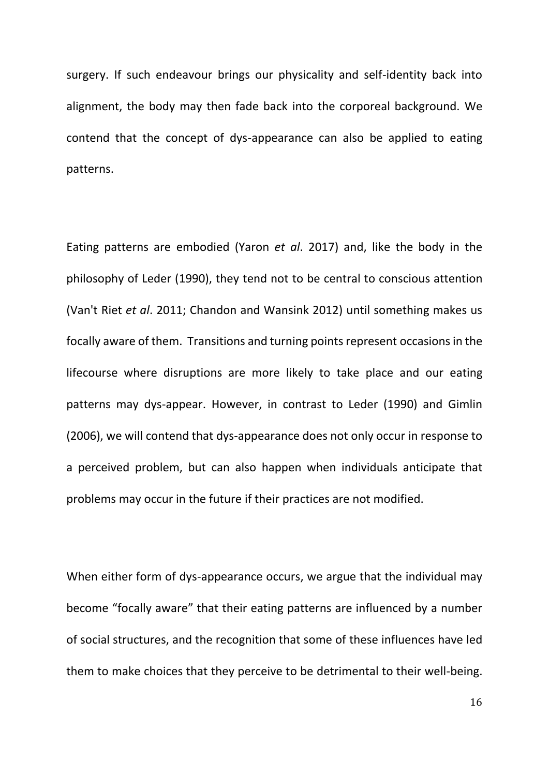surgery. If such endeavour brings our physicality and self-identity back into alignment, the body may then fade back into the corporeal background. We contend that the concept of dys-appearance can also be applied to eating patterns.

Eating patterns are embodied (Yaron *et al*. 2017) and, like the body in the philosophy of Leder (1990), they tend not to be central to conscious attention (Van't Riet *et al*. 2011; Chandon and Wansink 2012) until something makes us focally aware of them. Transitions and turning points represent occasions in the lifecourse where disruptions are more likely to take place and our eating patterns may dys-appear. However, in contrast to Leder (1990) and Gimlin (2006), we will contend that dys-appearance does not only occur in response to a perceived problem, but can also happen when individuals anticipate that problems may occur in the future if their practices are not modified.

When either form of dys-appearance occurs, we argue that the individual may become "focally aware" that their eating patterns are influenced by a number of social structures, and the recognition that some of these influences have led them to make choices that they perceive to be detrimental to their well-being.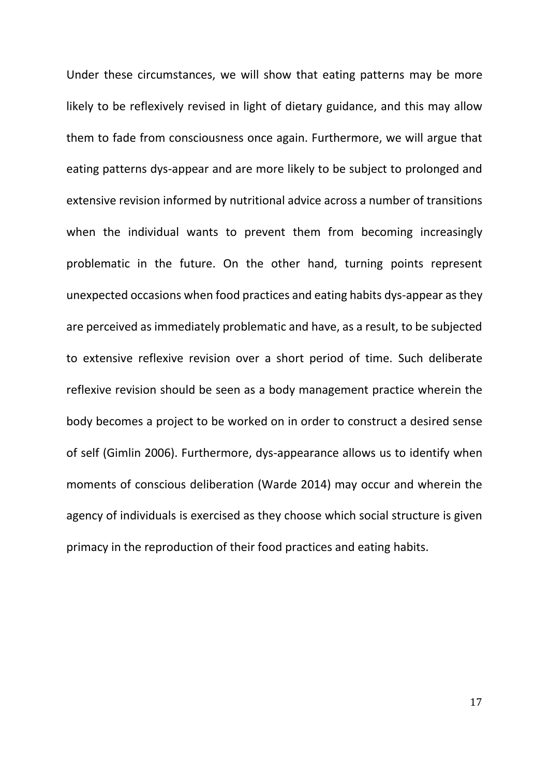Under these circumstances, we will show that eating patterns may be more likely to be reflexively revised in light of dietary guidance, and this may allow them to fade from consciousness once again. Furthermore, we will argue that eating patterns dys-appear and are more likely to be subject to prolonged and extensive revision informed by nutritional advice across a number of transitions when the individual wants to prevent them from becoming increasingly problematic in the future. On the other hand, turning points represent unexpected occasions when food practices and eating habits dys-appear as they are perceived as immediately problematic and have, as a result, to be subjected to extensive reflexive revision over a short period of time. Such deliberate reflexive revision should be seen as a body management practice wherein the body becomes a project to be worked on in order to construct a desired sense of self (Gimlin 2006). Furthermore, dys-appearance allows us to identify when moments of conscious deliberation (Warde 2014) may occur and wherein the agency of individuals is exercised as they choose which social structure is given primacy in the reproduction of their food practices and eating habits.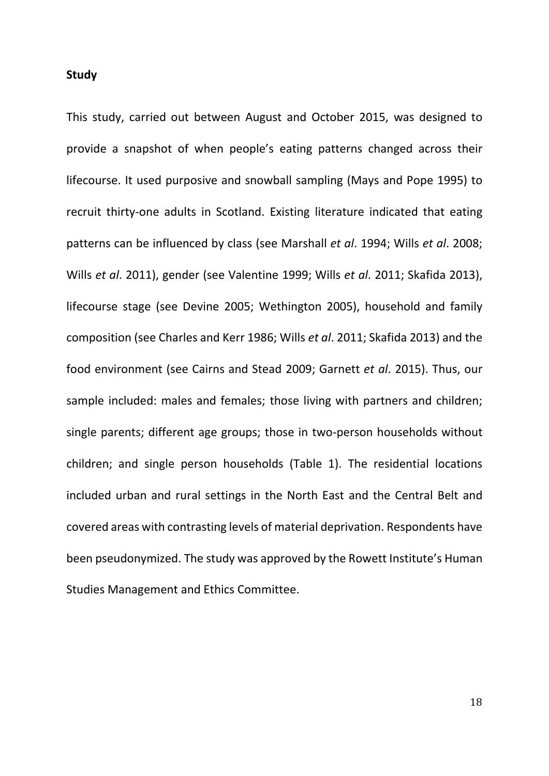#### **Study**

This study, carried out between August and October 2015, was designed to provide a snapshot of when people's eating patterns changed across their lifecourse. It used purposive and snowball sampling (Mays and Pope 1995) to recruit thirty-one adults in Scotland. Existing literature indicated that eating patterns can be influenced by class (see Marshall *et al*. 1994; Wills *et al*. 2008; Wills *et al*. 2011), gender (see Valentine 1999; Wills *et al*. 2011; Skafida 2013), lifecourse stage (see Devine 2005; Wethington 2005), household and family composition (see Charles and Kerr 1986; Wills *et al*. 2011; Skafida 2013) and the food environment (see Cairns and Stead 2009; Garnett *et al*. 2015). Thus, our sample included: males and females; those living with partners and children; single parents; different age groups; those in two-person households without children; and single person households (Table 1). The residential locations included urban and rural settings in the North East and the Central Belt and covered areas with contrasting levels of material deprivation. Respondents have been pseudonymized. The study was approved by the Rowett Institute's Human Studies Management and Ethics Committee.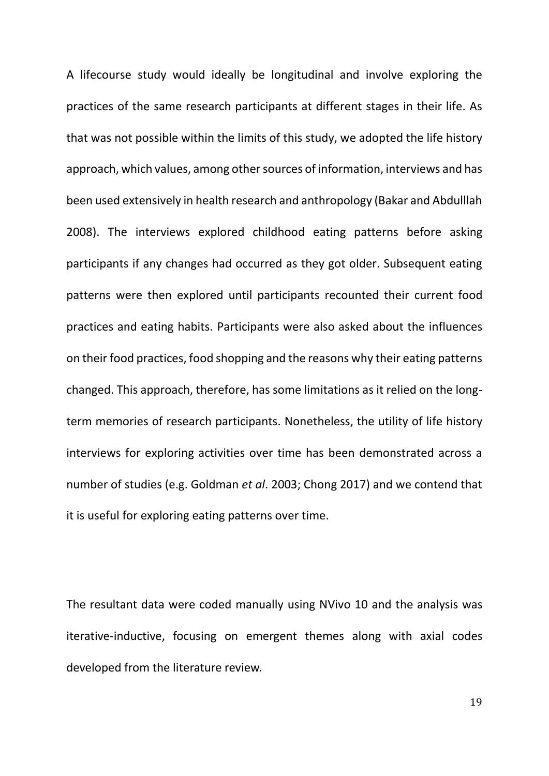A lifecourse study would ideally be longitudinal and involve exploring the practices of the same research participants at different stages in their life. As that was not possible within the limits of this study, we adopted the life history approach, which values, among other sources of information, interviews and has been used extensively in health research and anthropology (Bakar and Abdulllah 2008). The interviews explored childhood eating patterns before asking participants if any changes had occurred as they got older. Subsequent eating patterns were then explored until participants recounted their current food practices and eating habits. Participants were also asked about the influences on their food practices, food shopping and the reasons why their eating patterns changed. This approach, therefore, has some limitations as it relied on the longterm memories of research participants. Nonetheless, the utility of life history interviews for exploring activities over time has been demonstrated across a number of studies (e.g. Goldman *et al*. 2003; Chong 2017) and we contend that it is useful for exploring eating patterns over time.

The resultant data were coded manually using NVivo 10 and the analysis was iterative-inductive, focusing on emergent themes along with axial codes developed from the literature review.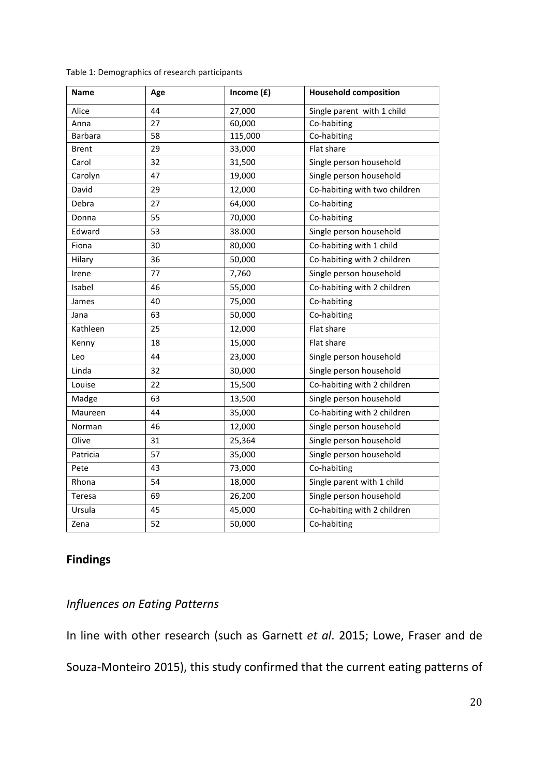| <b>Name</b>  | Age | Income $(f)$ | <b>Household composition</b>  |
|--------------|-----|--------------|-------------------------------|
| Alice        | 44  | 27,000       | Single parent with 1 child    |
| Anna         | 27  | 60,000       | Co-habiting                   |
| Barbara      | 58  | 115,000      | Co-habiting                   |
| <b>Brent</b> | 29  | 33,000       | Flat share                    |
| Carol        | 32  | 31,500       | Single person household       |
| Carolyn      | 47  | 19,000       | Single person household       |
| David        | 29  | 12,000       | Co-habiting with two children |
| Debra        | 27  | 64,000       | Co-habiting                   |
| Donna        | 55  | 70,000       | Co-habiting                   |
| Edward       | 53  | 38.000       | Single person household       |
| Fiona        | 30  | 80,000       | Co-habiting with 1 child      |
| Hilary       | 36  | 50,000       | Co-habiting with 2 children   |
| Irene        | 77  | 7,760        | Single person household       |
| Isabel       | 46  | 55,000       | Co-habiting with 2 children   |
| James        | 40  | 75,000       | Co-habiting                   |
| Jana         | 63  | 50,000       | Co-habiting                   |
| Kathleen     | 25  | 12,000       | Flat share                    |
| Kenny        | 18  | 15,000       | Flat share                    |
| Leo          | 44  | 23,000       | Single person household       |
| Linda        | 32  | 30,000       | Single person household       |
| Louise       | 22  | 15,500       | Co-habiting with 2 children   |
| Madge        | 63  | 13,500       | Single person household       |
| Maureen      | 44  | 35,000       | Co-habiting with 2 children   |
| Norman       | 46  | 12,000       | Single person household       |
| Olive        | 31  | 25,364       | Single person household       |
| Patricia     | 57  | 35,000       | Single person household       |
| Pete         | 43  | 73,000       | Co-habiting                   |
| Rhona        | 54  | 18,000       | Single parent with 1 child    |
| Teresa       | 69  | 26,200       | Single person household       |
| Ursula       | 45  | 45,000       | Co-habiting with 2 children   |
| Zena         | 52  | 50,000       | Co-habiting                   |

Table 1: Demographics of research participants

# **Findings**

# *Influences on Eating Patterns*

In line with other research (such as Garnett *et al*. 2015; Lowe, Fraser and de Souza-Monteiro 2015), this study confirmed that the current eating patterns of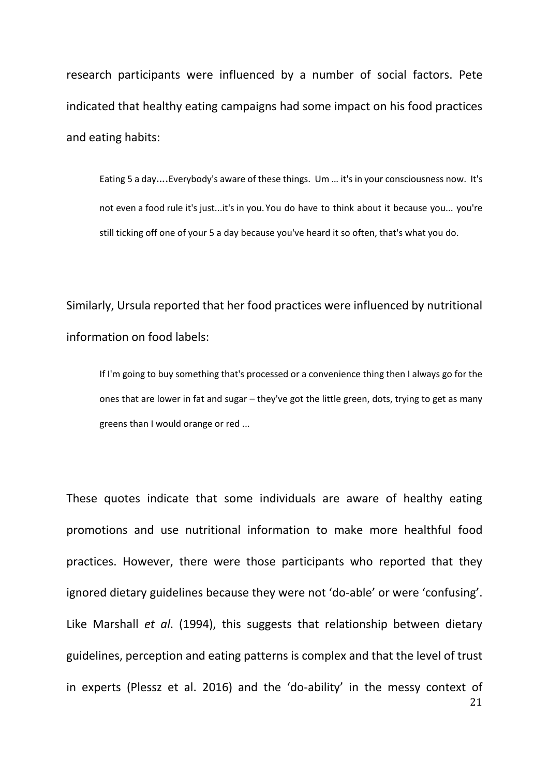research participants were influenced by a number of social factors. Pete indicated that healthy eating campaigns had some impact on his food practices and eating habits:

Eating 5 a day….Everybody's aware of these things. Um … it's in your consciousness now. It's not even a food rule it's just...it's in you.You do have to think about it because you... you're still ticking off one of your 5 a day because you've heard it so often, that's what you do.

Similarly, Ursula reported that her food practices were influenced by nutritional information on food labels:

If I'm going to buy something that's processed or a convenience thing then I always go for the ones that are lower in fat and sugar – they've got the little green, dots, trying to get as many greens than I would orange or red ...

21 These quotes indicate that some individuals are aware of healthy eating promotions and use nutritional information to make more healthful food practices. However, there were those participants who reported that they ignored dietary guidelines because they were not 'do-able' or were 'confusing'. Like Marshall *et al*. (1994), this suggests that relationship between dietary guidelines, perception and eating patterns is complex and that the level of trust in experts (Plessz et al. 2016) and the 'do-ability' in the messy context of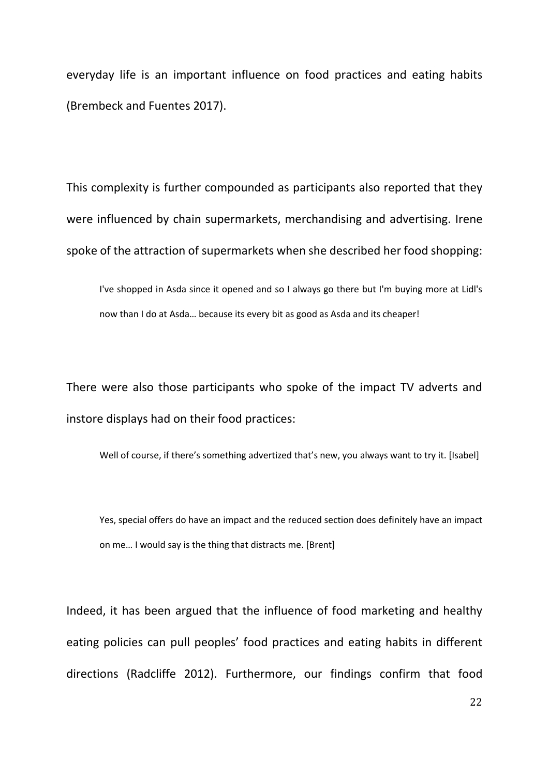everyday life is an important influence on food practices and eating habits (Brembeck and Fuentes 2017).

This complexity is further compounded as participants also reported that they were influenced by chain supermarkets, merchandising and advertising. Irene spoke of the attraction of supermarkets when she described her food shopping:

I've shopped in Asda since it opened and so I always go there but I'm buying more at Lidl's now than I do at Asda… because its every bit as good as Asda and its cheaper!

There were also those participants who spoke of the impact TV adverts and instore displays had on their food practices:

Well of course, if there's something advertized that's new, you always want to try it. [Isabel]

Yes, special offers do have an impact and the reduced section does definitely have an impact on me… I would say is the thing that distracts me. [Brent]

Indeed, it has been argued that the influence of food marketing and healthy eating policies can pull peoples' food practices and eating habits in different directions (Radcliffe 2012). Furthermore, our findings confirm that food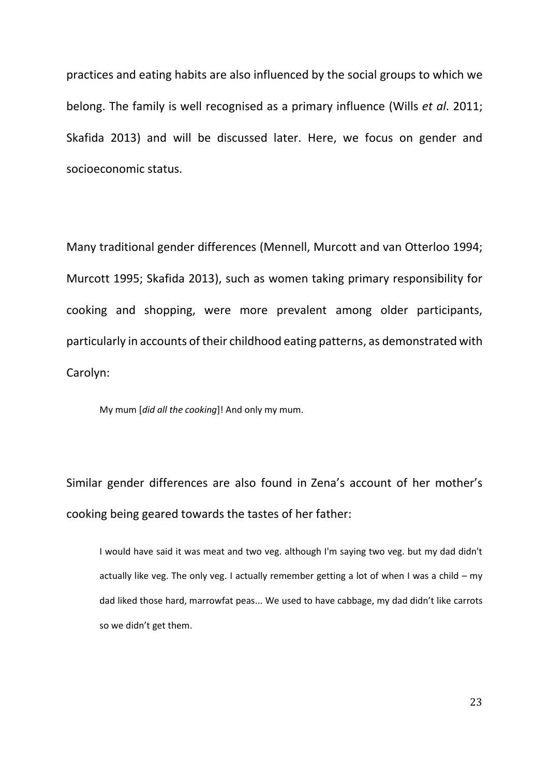practices and eating habits are also influenced by the social groups to which we belong. The family is well recognised as a primary influence (Wills *et al*. 2011; Skafida 2013) and will be discussed later. Here, we focus on gender and socioeconomic status.

Many traditional gender differences (Mennell, Murcott and van Otterloo 1994; Murcott 1995; Skafida 2013), such as women taking primary responsibility for cooking and shopping, were more prevalent among older participants, particularly in accounts of their childhood eating patterns, as demonstrated with Carolyn:

My mum [*did all the cooking*]! And only my mum.

Similar gender differences are also found in Zena's account of her mother's cooking being geared towards the tastes of her father:

I would have said it was meat and two veg. although I'm saying two veg. but my dad didn't actually like veg. The only veg. I actually remember getting a lot of when I was a child – my dad liked those hard, marrowfat peas... We used to have cabbage, my dad didn't like carrots so we didn't get them.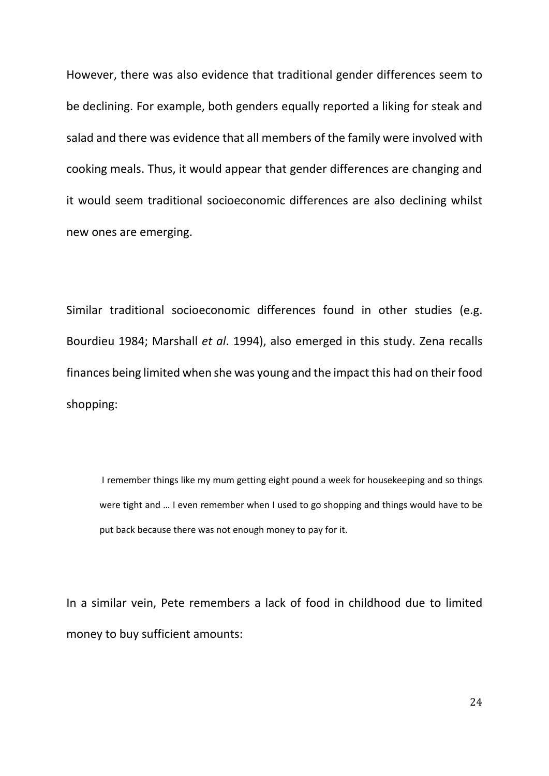However, there was also evidence that traditional gender differences seem to be declining. For example, both genders equally reported a liking for steak and salad and there was evidence that all members of the family were involved with cooking meals. Thus, it would appear that gender differences are changing and it would seem traditional socioeconomic differences are also declining whilst new ones are emerging.

Similar traditional socioeconomic differences found in other studies (e.g. Bourdieu 1984; Marshall *et al*. 1994), also emerged in this study. Zena recalls finances being limited when she was young and the impact this had on their food shopping:

I remember things like my mum getting eight pound a week for housekeeping and so things were tight and … I even remember when I used to go shopping and things would have to be put back because there was not enough money to pay for it.

In a similar vein, Pete remembers a lack of food in childhood due to limited money to buy sufficient amounts: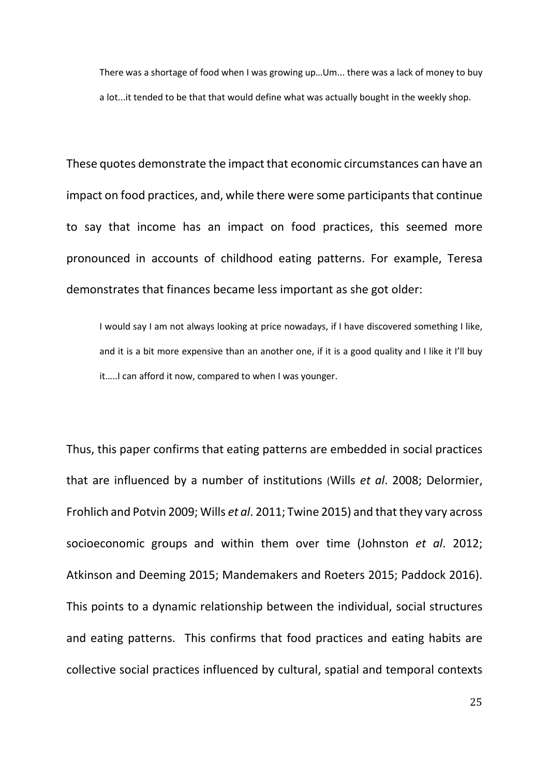There was a shortage of food when I was growing up…Um... there was a lack of money to buy a lot...it tended to be that that would define what was actually bought in the weekly shop.

These quotes demonstrate the impact that economic circumstances can have an impact on food practices, and, while there were some participants that continue to say that income has an impact on food practices, this seemed more pronounced in accounts of childhood eating patterns. For example, Teresa demonstrates that finances became less important as she got older:

I would say I am not always looking at price nowadays, if I have discovered something I like, and it is a bit more expensive than an another one, if it is a good quality and I like it I'll buy it…..I can afford it now, compared to when I was younger.

Thus, this paper confirms that eating patterns are embedded in social practices that are influenced by a number of institutions (Wills *et al*. 2008; Delormier, Frohlich and Potvin 2009; Wills *et al*. 2011; Twine 2015) and that they vary across socioeconomic groups and within them over time (Johnston *et al*. 2012; Atkinson and Deeming 2015; Mandemakers and Roeters 2015; Paddock 2016). This points to a dynamic relationship between the individual, social structures and eating patterns. This confirms that food practices and eating habits are collective social practices influenced by cultural, spatial and temporal contexts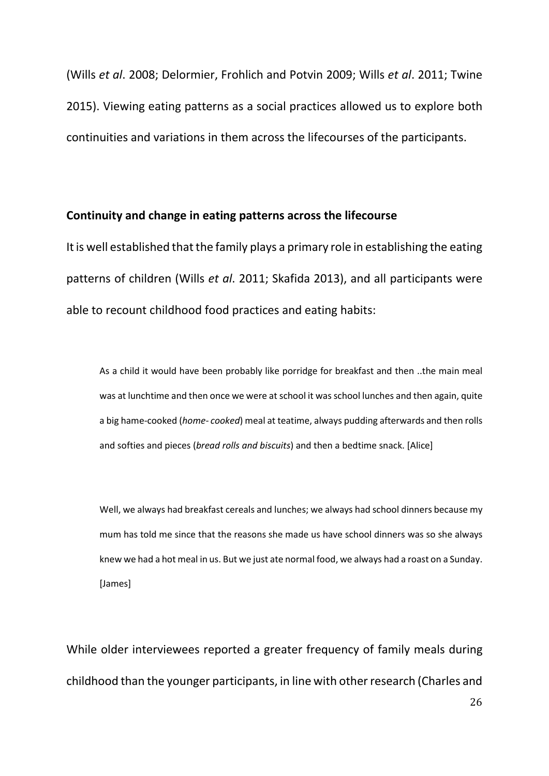(Wills *et al*. 2008; Delormier, Frohlich and Potvin 2009; Wills *et al*. 2011; Twine 2015). Viewing eating patterns as a social practices allowed us to explore both continuities and variations in them across the lifecourses of the participants.

#### **Continuity and change in eating patterns across the lifecourse**

It is well established that the family plays a primary role in establishing the eating patterns of children (Wills *et al*. 2011; Skafida 2013), and all participants were able to recount childhood food practices and eating habits:

As a child it would have been probably like porridge for breakfast and then ..the main meal was at lunchtime and then once we were at school it was school lunches and then again, quite a big hame-cooked (*home- cooked*) meal at teatime, always pudding afterwards and then rolls and softies and pieces (*bread rolls and biscuits*) and then a bedtime snack. [Alice]

Well, we always had breakfast cereals and lunches; we always had school dinners because my mum has told me since that the reasons she made us have school dinners was so she always knew we had a hot meal in us. But we just ate normal food, we always had a roast on a Sunday. [James]

While older interviewees reported a greater frequency of family meals during childhood than the younger participants, in line with other research (Charles and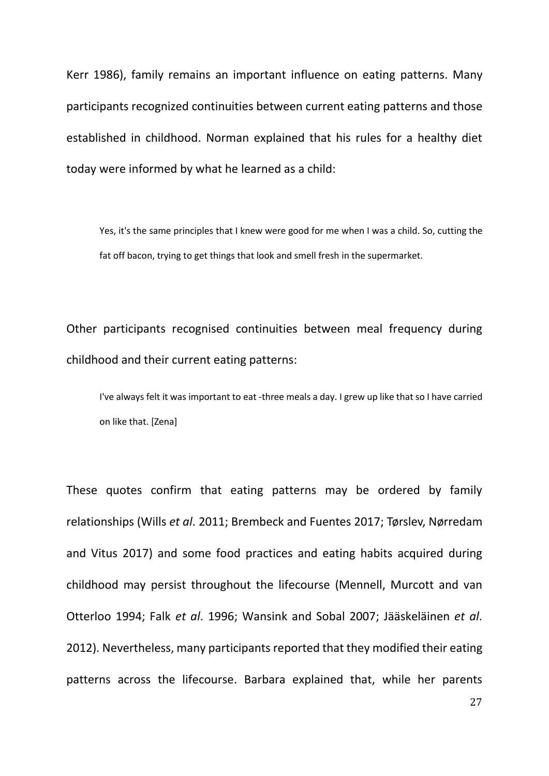Kerr 1986), family remains an important influence on eating patterns. Many participants recognized continuities between current eating patterns and those established in childhood. Norman explained that his rules for a healthy diet today were informed by what he learned as a child:

Yes, it's the same principles that I knew were good for me when I was a child. So, cutting the fat off bacon, trying to get things that look and smell fresh in the supermarket.

Other participants recognised continuities between meal frequency during childhood and their current eating patterns:

I've always felt it was important to eat -three meals a day. I grew up like that so I have carried on like that. [Zena]

These quotes confirm that eating patterns may be ordered by family relationships (Wills *et al*. 2011; Brembeck and Fuentes 2017; Tørslev, Nørredam and Vitus 2017) and some food practices and eating habits acquired during childhood may persist throughout the lifecourse (Mennell, Murcott and van Otterloo 1994; Falk *et al*. 1996; Wansink and Sobal 2007; Jääskeläinen *et al*. 2012). Nevertheless, many participants reported that they modified their eating patterns across the lifecourse. Barbara explained that, while her parents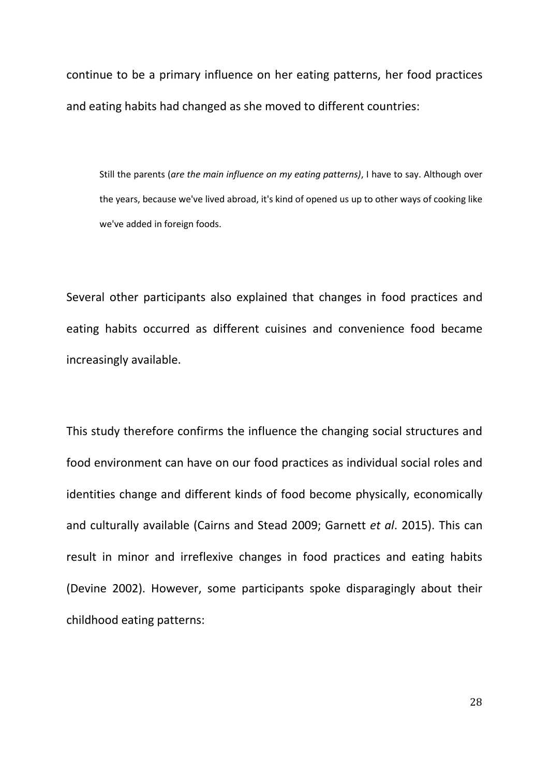continue to be a primary influence on her eating patterns, her food practices and eating habits had changed as she moved to different countries:

Still the parents (*are the main influence on my eating patterns)*, I have to say. Although over the years, because we've lived abroad, it's kind of opened us up to other ways of cooking like we've added in foreign foods.

Several other participants also explained that changes in food practices and eating habits occurred as different cuisines and convenience food became increasingly available.

This study therefore confirms the influence the changing social structures and food environment can have on our food practices as individual social roles and identities change and different kinds of food become physically, economically and culturally available (Cairns and Stead 2009; Garnett *et al*. 2015). This can result in minor and irreflexive changes in food practices and eating habits (Devine 2002). However, some participants spoke disparagingly about their childhood eating patterns: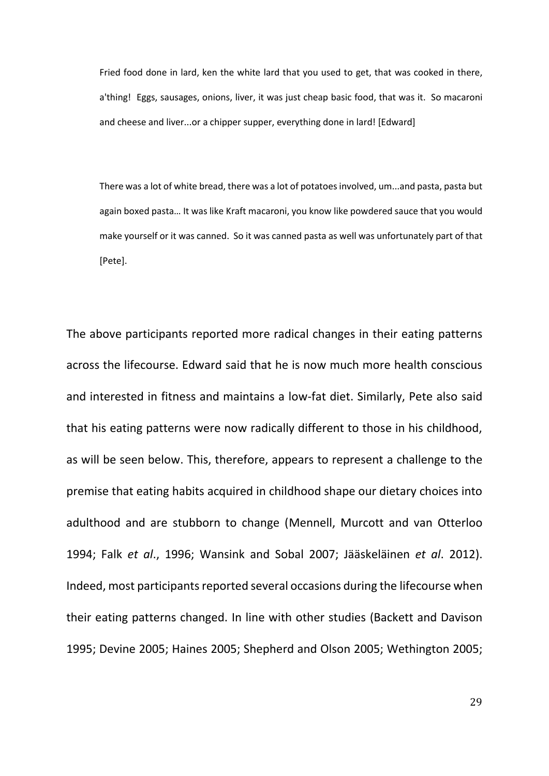Fried food done in lard, ken the white lard that you used to get, that was cooked in there, a'thing! Eggs, sausages, onions, liver, it was just cheap basic food, that was it. So macaroni and cheese and liver...or a chipper supper, everything done in lard! [Edward]

There was a lot of white bread, there was a lot of potatoes involved, um...and pasta, pasta but again boxed pasta… It was like Kraft macaroni, you know like powdered sauce that you would make yourself or it was canned. So it was canned pasta as well was unfortunately part of that [Pete].

The above participants reported more radical changes in their eating patterns across the lifecourse. Edward said that he is now much more health conscious and interested in fitness and maintains a low-fat diet. Similarly, Pete also said that his eating patterns were now radically different to those in his childhood, as will be seen below. This, therefore, appears to represent a challenge to the premise that eating habits acquired in childhood shape our dietary choices into adulthood and are stubborn to change (Mennell, Murcott and van Otterloo 1994; Falk *et al*., 1996; Wansink and Sobal 2007; Jääskeläinen *et al*. 2012). Indeed, most participants reported several occasions during the lifecourse when their eating patterns changed. In line with other studies (Backett and Davison 1995; Devine 2005; Haines 2005; Shepherd and Olson 2005; Wethington 2005;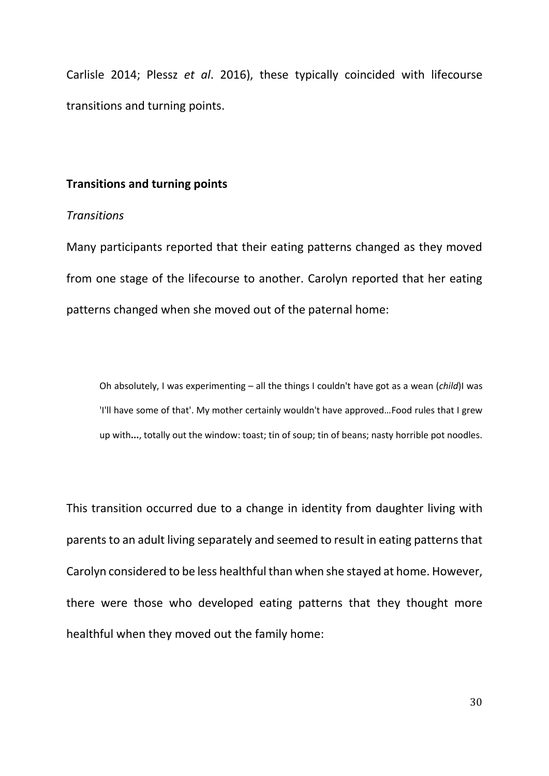Carlisle 2014; Plessz *et al*. 2016), these typically coincided with lifecourse transitions and turning points.

#### **Transitions and turning points**

#### *Transitions*

Many participants reported that their eating patterns changed as they moved from one stage of the lifecourse to another. Carolyn reported that her eating patterns changed when she moved out of the paternal home:

Oh absolutely, I was experimenting – all the things I couldn't have got as a wean (*child*)I was 'I'll have some of that'. My mother certainly wouldn't have approved…Food rules that I grew up with**...**, totally out the window: toast; tin of soup; tin of beans; nasty horrible pot noodles.

This transition occurred due to a change in identity from daughter living with parents to an adult living separately and seemed to result in eating patterns that Carolyn considered to be less healthful than when she stayed at home. However, there were those who developed eating patterns that they thought more healthful when they moved out the family home: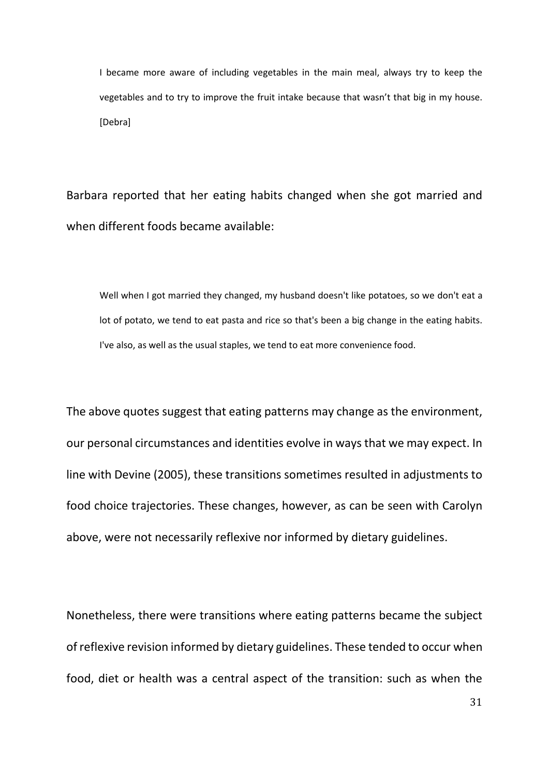I became more aware of including vegetables in the main meal, always try to keep the vegetables and to try to improve the fruit intake because that wasn't that big in my house. [Debra]

Barbara reported that her eating habits changed when she got married and when different foods became available:

Well when I got married they changed, my husband doesn't like potatoes, so we don't eat a lot of potato, we tend to eat pasta and rice so that's been a big change in the eating habits. I've also, as well as the usual staples, we tend to eat more convenience food.

The above quotes suggest that eating patterns may change as the environment, our personal circumstances and identities evolve in ways that we may expect. In line with Devine (2005), these transitions sometimes resulted in adjustments to food choice trajectories. These changes, however, as can be seen with Carolyn above, were not necessarily reflexive nor informed by dietary guidelines.

Nonetheless, there were transitions where eating patterns became the subject of reflexive revision informed by dietary guidelines. These tended to occur when food, diet or health was a central aspect of the transition: such as when the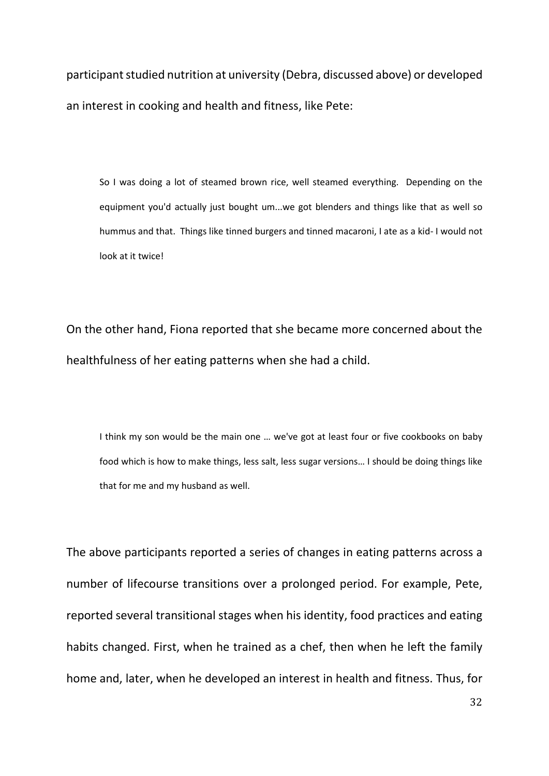participant studied nutrition at university (Debra, discussed above) or developed an interest in cooking and health and fitness, like Pete:

So I was doing a lot of steamed brown rice, well steamed everything. Depending on the equipment you'd actually just bought um...we got blenders and things like that as well so hummus and that. Things like tinned burgers and tinned macaroni, I ate as a kid- I would not look at it twice!

On the other hand, Fiona reported that she became more concerned about the healthfulness of her eating patterns when she had a child.

I think my son would be the main one … we've got at least four or five cookbooks on baby food which is how to make things, less salt, less sugar versions… I should be doing things like that for me and my husband as well.

The above participants reported a series of changes in eating patterns across a number of lifecourse transitions over a prolonged period. For example, Pete, reported several transitional stages when his identity, food practices and eating habits changed. First, when he trained as a chef, then when he left the family home and, later, when he developed an interest in health and fitness. Thus, for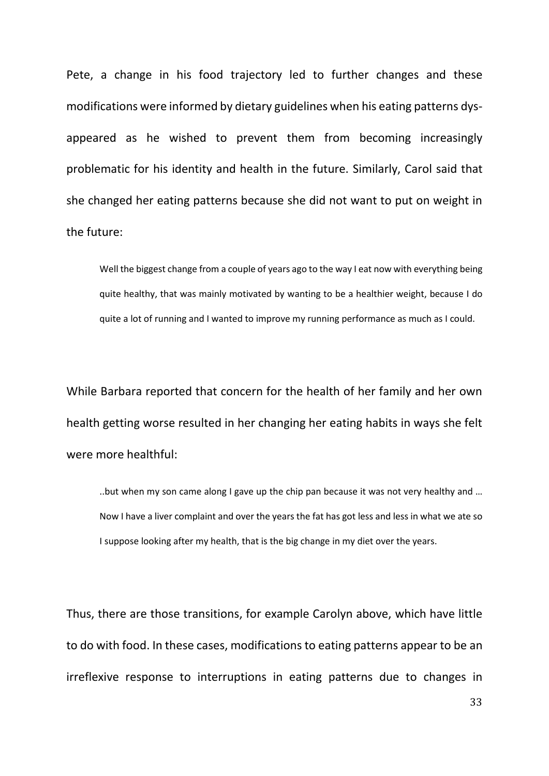Pete, a change in his food trajectory led to further changes and these modifications were informed by dietary guidelines when his eating patterns dysappeared as he wished to prevent them from becoming increasingly problematic for his identity and health in the future. Similarly, Carol said that she changed her eating patterns because she did not want to put on weight in the future:

Well the biggest change from a couple of years ago to the way I eat now with everything being quite healthy, that was mainly motivated by wanting to be a healthier weight, because I do quite a lot of running and I wanted to improve my running performance as much as I could.

While Barbara reported that concern for the health of her family and her own health getting worse resulted in her changing her eating habits in ways she felt were more healthful:

..but when my son came along I gave up the chip pan because it was not very healthy and … Now I have a liver complaint and over the years the fat has got less and less in what we ate so I suppose looking after my health, that is the big change in my diet over the years.

Thus, there are those transitions, for example Carolyn above, which have little to do with food. In these cases, modifications to eating patterns appear to be an irreflexive response to interruptions in eating patterns due to changes in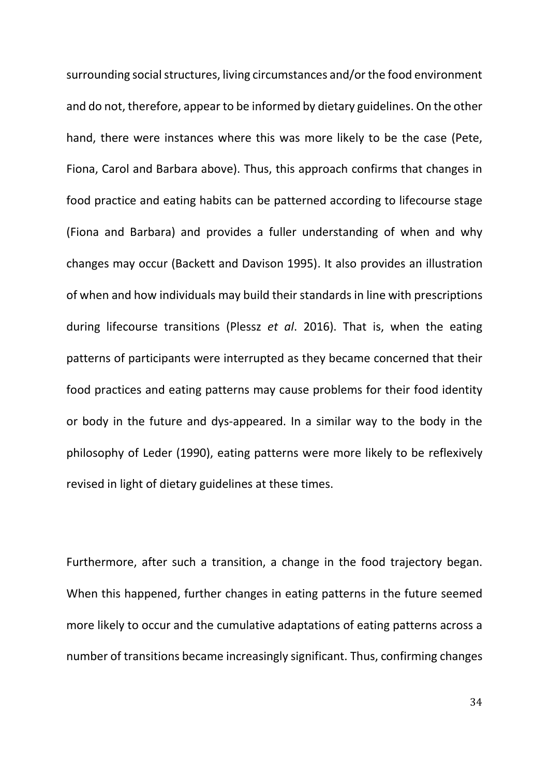surrounding social structures, living circumstances and/or the food environment and do not, therefore, appear to be informed by dietary guidelines. On the other hand, there were instances where this was more likely to be the case (Pete, Fiona, Carol and Barbara above). Thus, this approach confirms that changes in food practice and eating habits can be patterned according to lifecourse stage (Fiona and Barbara) and provides a fuller understanding of when and why changes may occur (Backett and Davison 1995). It also provides an illustration of when and how individuals may build their standards in line with prescriptions during lifecourse transitions (Plessz *et al*. 2016). That is, when the eating patterns of participants were interrupted as they became concerned that their food practices and eating patterns may cause problems for their food identity or body in the future and dys-appeared. In a similar way to the body in the philosophy of Leder (1990), eating patterns were more likely to be reflexively revised in light of dietary guidelines at these times.

Furthermore, after such a transition, a change in the food trajectory began. When this happened, further changes in eating patterns in the future seemed more likely to occur and the cumulative adaptations of eating patterns across a number of transitions became increasingly significant. Thus, confirming changes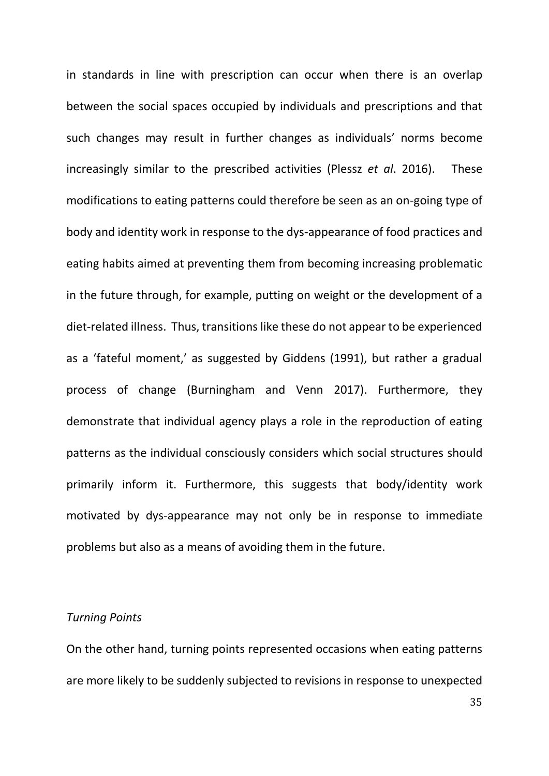in standards in line with prescription can occur when there is an overlap between the social spaces occupied by individuals and prescriptions and that such changes may result in further changes as individuals' norms become increasingly similar to the prescribed activities (Plessz *et al*. 2016). These modifications to eating patterns could therefore be seen as an on-going type of body and identity work in response to the dys-appearance of food practices and eating habits aimed at preventing them from becoming increasing problematic in the future through, for example, putting on weight or the development of a diet-related illness. Thus, transitions like these do not appear to be experienced as a 'fateful moment,' as suggested by Giddens (1991), but rather a gradual process of change (Burningham and Venn 2017). Furthermore, they demonstrate that individual agency plays a role in the reproduction of eating patterns as the individual consciously considers which social structures should primarily inform it. Furthermore, this suggests that body/identity work motivated by dys-appearance may not only be in response to immediate problems but also as a means of avoiding them in the future.

#### *Turning Points*

On the other hand, turning points represented occasions when eating patterns are more likely to be suddenly subjected to revisions in response to unexpected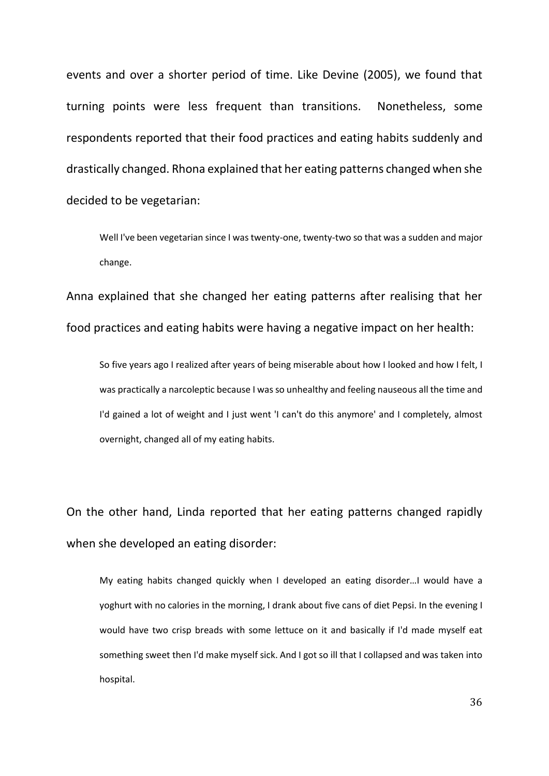events and over a shorter period of time. Like Devine (2005), we found that turning points were less frequent than transitions. Nonetheless, some respondents reported that their food practices and eating habits suddenly and drastically changed. Rhona explained that her eating patterns changed when she decided to be vegetarian:

Well I've been vegetarian since I was twenty-one, twenty-two so that was a sudden and major change.

Anna explained that she changed her eating patterns after realising that her food practices and eating habits were having a negative impact on her health:

So five years ago I realized after years of being miserable about how I looked and how I felt, I was practically a narcoleptic because I was so unhealthy and feeling nauseous all the time and I'd gained a lot of weight and I just went 'I can't do this anymore' and I completely, almost overnight, changed all of my eating habits.

On the other hand, Linda reported that her eating patterns changed rapidly when she developed an eating disorder:

My eating habits changed quickly when I developed an eating disorder…I would have a yoghurt with no calories in the morning, I drank about five cans of diet Pepsi. In the evening I would have two crisp breads with some lettuce on it and basically if I'd made myself eat something sweet then I'd make myself sick. And I got so ill that I collapsed and was taken into hospital.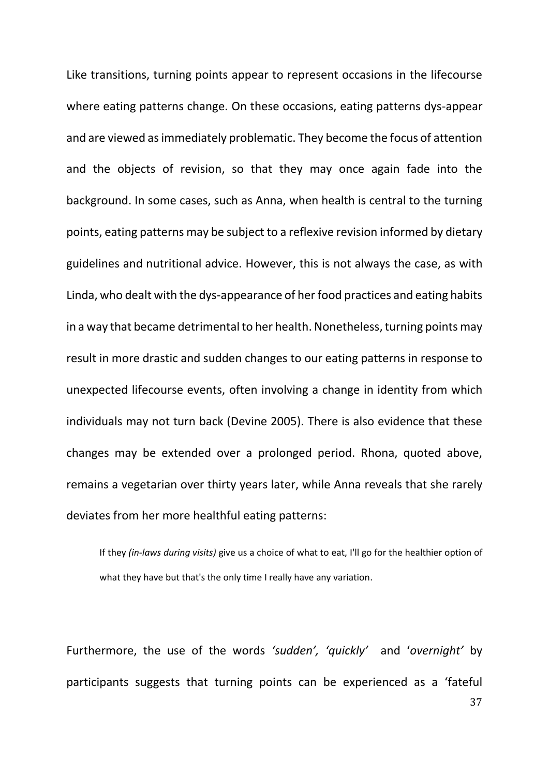Like transitions, turning points appear to represent occasions in the lifecourse where eating patterns change. On these occasions, eating patterns dys-appear and are viewed asimmediately problematic. They become the focus of attention and the objects of revision, so that they may once again fade into the background. In some cases, such as Anna, when health is central to the turning points, eating patterns may be subject to a reflexive revision informed by dietary guidelines and nutritional advice. However, this is not always the case, as with Linda, who dealt with the dys-appearance of her food practices and eating habits in a way that became detrimental to her health. Nonetheless, turning points may result in more drastic and sudden changes to our eating patterns in response to unexpected lifecourse events, often involving a change in identity from which individuals may not turn back (Devine 2005). There is also evidence that these changes may be extended over a prolonged period. Rhona, quoted above, remains a vegetarian over thirty years later, while Anna reveals that she rarely deviates from her more healthful eating patterns:

If they *(in-laws during visits)* give us a choice of what to eat, I'll go for the healthier option of what they have but that's the only time I really have any variation.

Furthermore, the use of the words *'sudden', 'quickly'* and '*overnight'* by participants suggests that turning points can be experienced as a 'fateful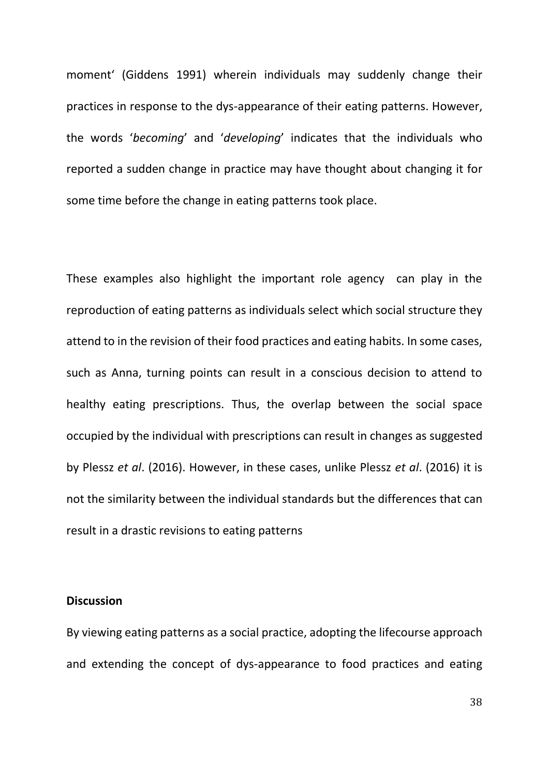moment' (Giddens 1991) wherein individuals may suddenly change their practices in response to the dys-appearance of their eating patterns. However, the words '*becoming*' and '*developing*' indicates that the individuals who reported a sudden change in practice may have thought about changing it for some time before the change in eating patterns took place.

These examples also highlight the important role agency can play in the reproduction of eating patterns as individuals select which social structure they attend to in the revision of their food practices and eating habits. In some cases, such as Anna, turning points can result in a conscious decision to attend to healthy eating prescriptions. Thus, the overlap between the social space occupied by the individual with prescriptions can result in changes as suggested by Plessz *et al*. (2016). However, in these cases, unlike Plessz *et al*. (2016) it is not the similarity between the individual standards but the differences that can result in a drastic revisions to eating patterns

#### **Discussion**

By viewing eating patterns as a social practice, adopting the lifecourse approach and extending the concept of dys-appearance to food practices and eating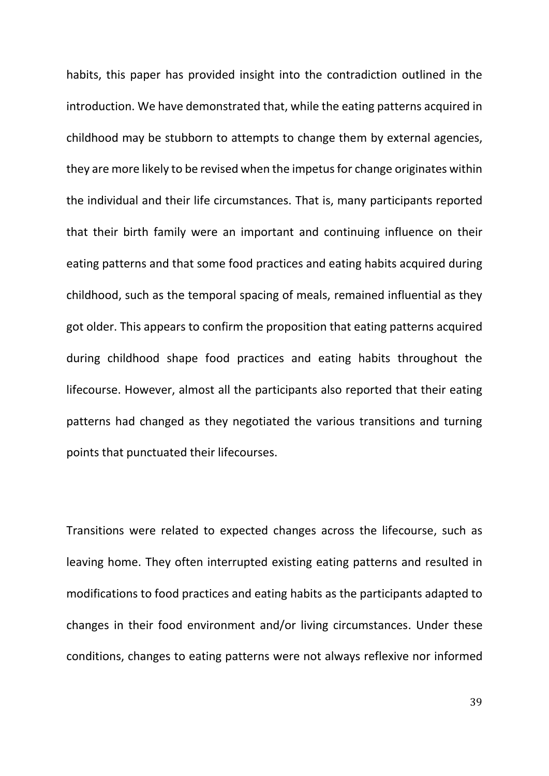habits, this paper has provided insight into the contradiction outlined in the introduction. We have demonstrated that, while the eating patterns acquired in childhood may be stubborn to attempts to change them by external agencies, they are more likely to be revised when the impetus for change originates within the individual and their life circumstances. That is, many participants reported that their birth family were an important and continuing influence on their eating patterns and that some food practices and eating habits acquired during childhood, such as the temporal spacing of meals, remained influential as they got older. This appears to confirm the proposition that eating patterns acquired during childhood shape food practices and eating habits throughout the lifecourse. However, almost all the participants also reported that their eating patterns had changed as they negotiated the various transitions and turning points that punctuated their lifecourses.

Transitions were related to expected changes across the lifecourse, such as leaving home. They often interrupted existing eating patterns and resulted in modifications to food practices and eating habits as the participants adapted to changes in their food environment and/or living circumstances. Under these conditions, changes to eating patterns were not always reflexive nor informed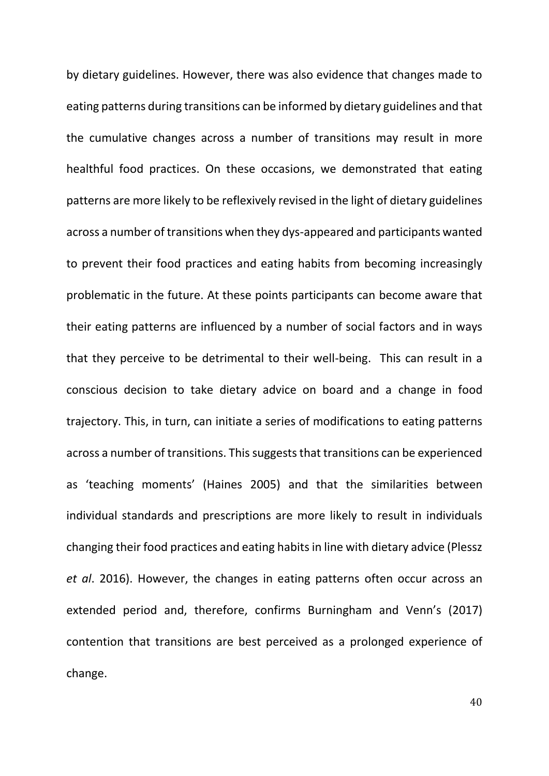by dietary guidelines. However, there was also evidence that changes made to eating patterns during transitions can be informed by dietary guidelines and that the cumulative changes across a number of transitions may result in more healthful food practices. On these occasions, we demonstrated that eating patterns are more likely to be reflexively revised in the light of dietary guidelines across a number of transitions when they dys-appeared and participants wanted to prevent their food practices and eating habits from becoming increasingly problematic in the future. At these points participants can become aware that their eating patterns are influenced by a number of social factors and in ways that they perceive to be detrimental to their well-being. This can result in a conscious decision to take dietary advice on board and a change in food trajectory. This, in turn, can initiate a series of modifications to eating patterns across a number of transitions. This suggests that transitions can be experienced as 'teaching moments' (Haines 2005) and that the similarities between individual standards and prescriptions are more likely to result in individuals changing their food practices and eating habits in line with dietary advice (Plessz *et al*. 2016). However, the changes in eating patterns often occur across an extended period and, therefore, confirms Burningham and Venn's (2017) contention that transitions are best perceived as a prolonged experience of change.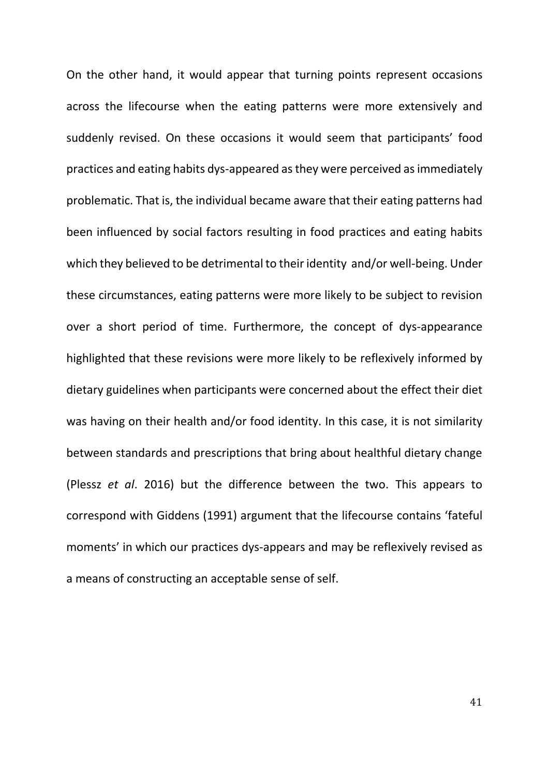On the other hand, it would appear that turning points represent occasions across the lifecourse when the eating patterns were more extensively and suddenly revised. On these occasions it would seem that participants' food practices and eating habits dys-appeared as they were perceived as immediately problematic. That is, the individual became aware that their eating patterns had been influenced by social factors resulting in food practices and eating habits which they believed to be detrimental to their identity and/or well-being. Under these circumstances, eating patterns were more likely to be subject to revision over a short period of time. Furthermore, the concept of dys-appearance highlighted that these revisions were more likely to be reflexively informed by dietary guidelines when participants were concerned about the effect their diet was having on their health and/or food identity. In this case, it is not similarity between standards and prescriptions that bring about healthful dietary change (Plessz *et al*. 2016) but the difference between the two. This appears to correspond with Giddens (1991) argument that the lifecourse contains 'fateful moments' in which our practices dys-appears and may be reflexively revised as a means of constructing an acceptable sense of self.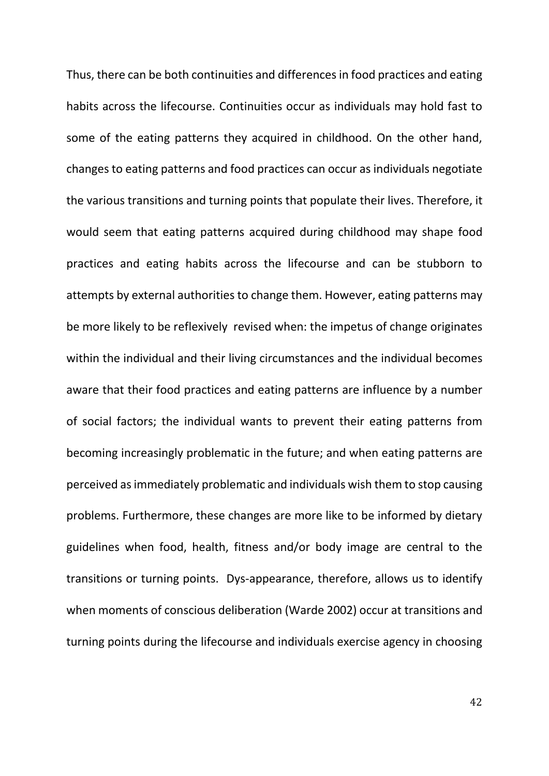Thus, there can be both continuities and differences in food practices and eating habits across the lifecourse. Continuities occur as individuals may hold fast to some of the eating patterns they acquired in childhood. On the other hand, changes to eating patterns and food practices can occur as individuals negotiate the various transitions and turning points that populate their lives. Therefore, it would seem that eating patterns acquired during childhood may shape food practices and eating habits across the lifecourse and can be stubborn to attempts by external authorities to change them. However, eating patterns may be more likely to be reflexively revised when: the impetus of change originates within the individual and their living circumstances and the individual becomes aware that their food practices and eating patterns are influence by a number of social factors; the individual wants to prevent their eating patterns from becoming increasingly problematic in the future; and when eating patterns are perceived as immediately problematic and individuals wish them to stop causing problems. Furthermore, these changes are more like to be informed by dietary guidelines when food, health, fitness and/or body image are central to the transitions or turning points. Dys-appearance, therefore, allows us to identify when moments of conscious deliberation (Warde 2002) occur at transitions and turning points during the lifecourse and individuals exercise agency in choosing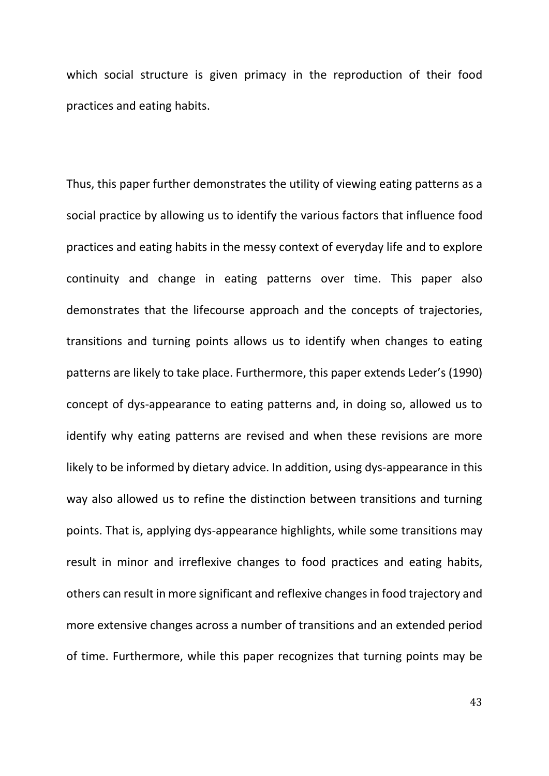which social structure is given primacy in the reproduction of their food practices and eating habits.

Thus, this paper further demonstrates the utility of viewing eating patterns as a social practice by allowing us to identify the various factors that influence food practices and eating habits in the messy context of everyday life and to explore continuity and change in eating patterns over time. This paper also demonstrates that the lifecourse approach and the concepts of trajectories, transitions and turning points allows us to identify when changes to eating patterns are likely to take place. Furthermore, this paper extends Leder's (1990) concept of dys-appearance to eating patterns and, in doing so, allowed us to identify why eating patterns are revised and when these revisions are more likely to be informed by dietary advice. In addition, using dys-appearance in this way also allowed us to refine the distinction between transitions and turning points. That is, applying dys-appearance highlights, while some transitions may result in minor and irreflexive changes to food practices and eating habits, others can result in more significant and reflexive changes in food trajectory and more extensive changes across a number of transitions and an extended period of time. Furthermore, while this paper recognizes that turning points may be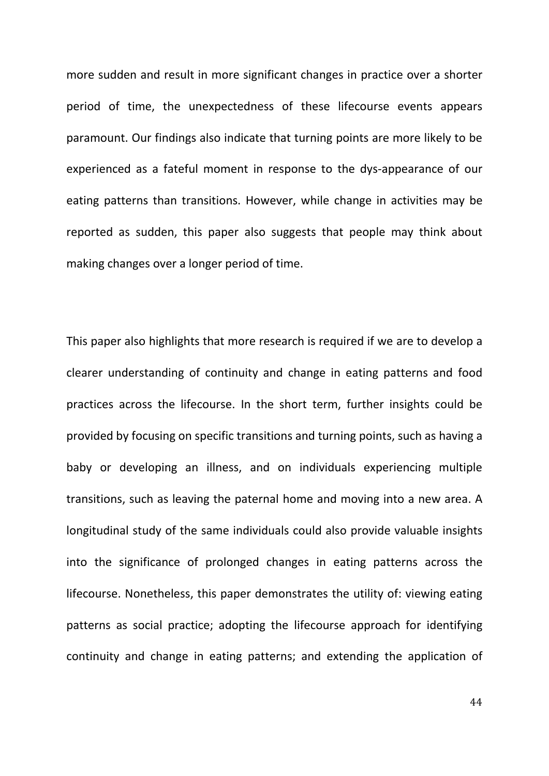more sudden and result in more significant changes in practice over a shorter period of time, the unexpectedness of these lifecourse events appears paramount. Our findings also indicate that turning points are more likely to be experienced as a fateful moment in response to the dys-appearance of our eating patterns than transitions. However, while change in activities may be reported as sudden, this paper also suggests that people may think about making changes over a longer period of time.

This paper also highlights that more research is required if we are to develop a clearer understanding of continuity and change in eating patterns and food practices across the lifecourse. In the short term, further insights could be provided by focusing on specific transitions and turning points, such as having a baby or developing an illness, and on individuals experiencing multiple transitions, such as leaving the paternal home and moving into a new area. A longitudinal study of the same individuals could also provide valuable insights into the significance of prolonged changes in eating patterns across the lifecourse. Nonetheless, this paper demonstrates the utility of: viewing eating patterns as social practice; adopting the lifecourse approach for identifying continuity and change in eating patterns; and extending the application of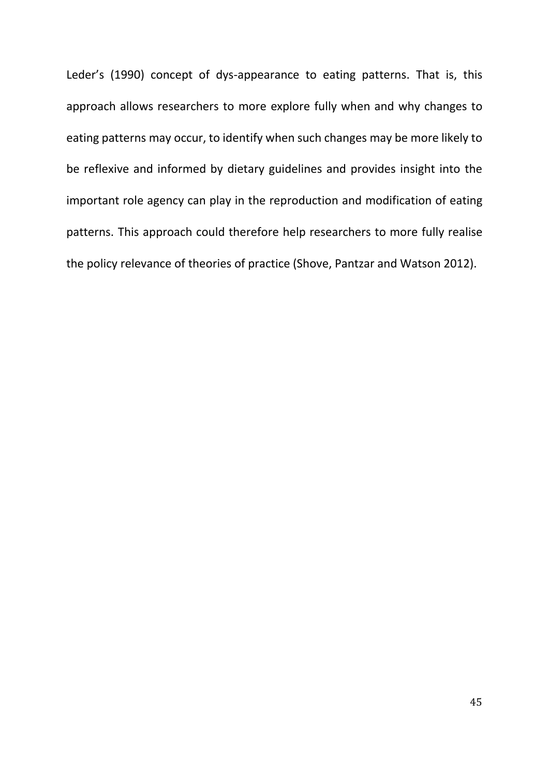Leder's (1990) concept of dys-appearance to eating patterns. That is, this approach allows researchers to more explore fully when and why changes to eating patterns may occur, to identify when such changes may be more likely to be reflexive and informed by dietary guidelines and provides insight into the important role agency can play in the reproduction and modification of eating patterns. This approach could therefore help researchers to more fully realise the policy relevance of theories of practice (Shove, Pantzar and Watson 2012).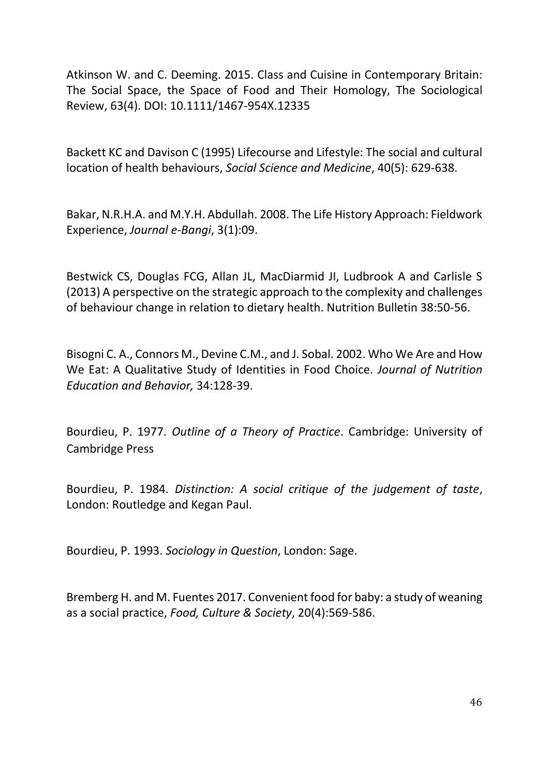Atkinson W. and C. Deeming. 2015. Class and Cuisine in Contemporary Britain: The Social Space, the Space of Food and Their Homology, The Sociological Review, 63(4). DOI: 10.1111/1467-954X.12335

Backett KC and Davison C (1995) Lifecourse and Lifestyle: The social and cultural location of health behaviours, *Social Science and Medicine*, 40(5): 629-638.

Bakar, N.R.H.A. and M.Y.H. Abdullah. 2008. The Life History Approach: Fieldwork Experience, *Journal e-Bangi*, 3(1):09.

Bestwick CS, Douglas FCG, Allan JL, MacDiarmid JI, Ludbrook A and Carlisle S (2013) A perspective on the strategic approach to the complexity and challenges of behaviour change in relation to dietary health. Nutrition Bulletin 38:50-56.

Bisogni C. A., Connors M., Devine C.M., and J. Sobal. 2002. Who We Are and How We Eat: A Qualitative Study of Identities in Food Choice. *Journal of Nutrition Education and Behavior,* 34:128-39.

Bourdieu, P. 1977. *Outline of a Theory of Practice*. Cambridge: University of Cambridge Press

Bourdieu, P. 1984. *Distinction: A social critique of the judgement of taste*, London: Routledge and Kegan Paul.

Bourdieu, P. 1993. *Sociology in Question*, London: Sage.

Bremberg H. and M. Fuentes 2017. Convenient food for baby: a study of weaning as a social practice, *Food, Culture & Society*, 20(4):569-586.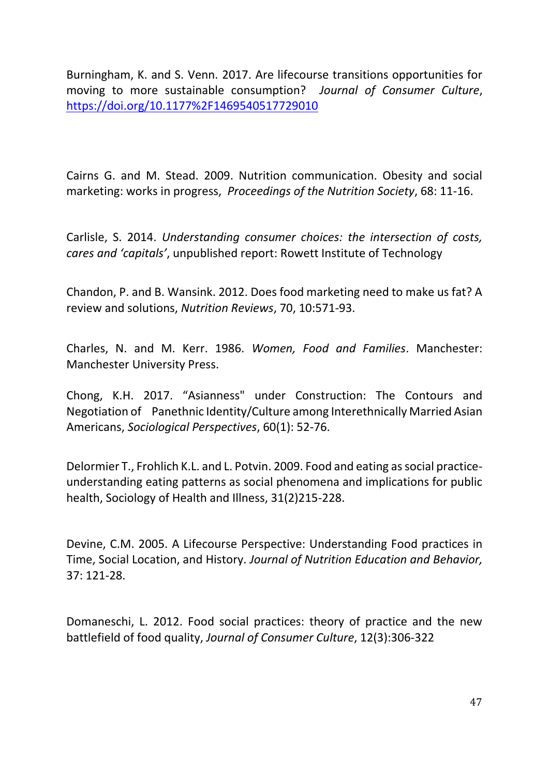Burningham, K. and S. Venn. 2017. Are lifecourse transitions opportunities for moving to more sustainable consumption? *Journal of Consumer Culture*, <https://doi.org/10.1177%2F1469540517729010>

Cairns G. and M. Stead. 2009. Nutrition communication. Obesity and social marketing: works in progress, *Proceedings of the Nutrition Society*, 68: 11-16.

Carlisle, S. 2014. *Understanding consumer choices: the intersection of costs, cares and 'capitals'*, unpublished report: Rowett Institute of Technology

Chandon, P. and B. Wansink. 2012. Does food marketing need to make us fat? A review and solutions, *Nutrition Reviews*, 70, 10:571-93.

Charles, N. and M. Kerr. 1986. *Women, Food and Families*. Manchester: Manchester University Press.

Chong, K.H. 2017. "Asianness" under Construction: The Contours and Negotiation of Panethnic Identity/Culture among Interethnically Married Asian Americans, *Sociological Perspectives*, 60(1): 52-76.

Delormier T., Frohlich K.L. and L. Potvin. 2009. Food and eating as social practiceunderstanding eating patterns as social phenomena and implications for public health, Sociology of Health and Illness, 31(2)215-228.

Devine, C.M. 2005. A Lifecourse Perspective: Understanding Food practices in Time, Social Location, and History. *Journal of Nutrition Education and Behavior,*  37: 121-28.

Domaneschi, L. 2012. Food social practices: theory of practice and the new battlefield of food quality, *Journal of Consumer Culture*, 12(3):306-322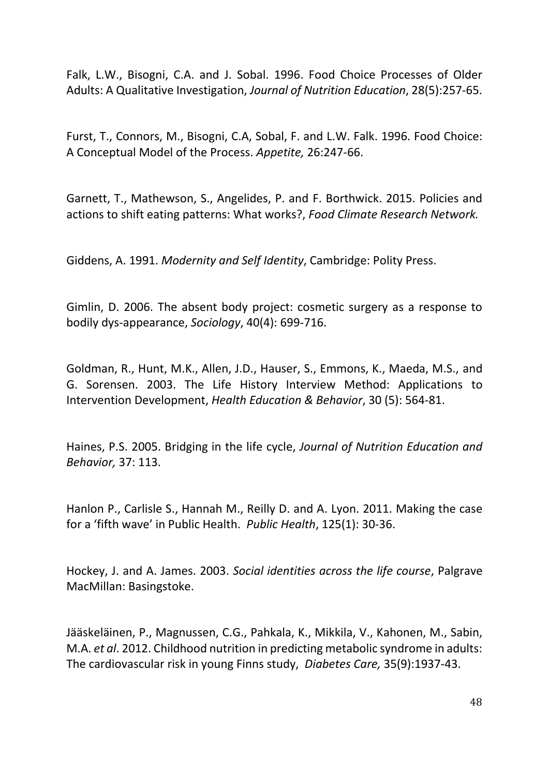Falk, L.W., Bisogni, C.A. and J. Sobal. 1996. Food Choice Processes of Older Adults: A Qualitative Investigation, *Journal of Nutrition Education*, 28(5):257-65.

Furst, T., Connors, M., Bisogni, C.A, Sobal, F. and L.W. Falk. 1996. Food Choice: A Conceptual Model of the Process. *Appetite,* 26:247-66.

Garnett, T., Mathewson, S., Angelides, P. and F. Borthwick. 2015. Policies and actions to shift eating patterns: What works?, *Food Climate Research Network.*

Giddens, A. 1991. *Modernity and Self Identity*, Cambridge: Polity Press.

Gimlin, D. 2006. The absent body project: cosmetic surgery as a response to bodily dys-appearance, *Sociology*, 40(4): 699-716.

Goldman, R., Hunt, M.K., Allen, J.D., Hauser, S., Emmons, K., Maeda, M.S., and G. Sorensen. 2003. The Life History Interview Method: Applications to Intervention Development, *Health Education & Behavior*, 30 (5): 564-81.

Haines, P.S. 2005. Bridging in the life cycle, *Journal of Nutrition Education and Behavior,* 37: 113.

Hanlon P., Carlisle S., Hannah M., Reilly D. and A. Lyon. 2011. Making the case for a 'fifth wave' in Public Health. *Public Health*, 125(1): 30-36.

Hockey, J. and A. James. 2003. *Social identities across the life course*, Palgrave MacMillan: Basingstoke.

Jääskeläinen, P., Magnussen, C.G., Pahkala, K., Mikkila, V., Kahonen, M., Sabin, M.A. *et al*. 2012. Childhood nutrition in predicting metabolic syndrome in adults: The cardiovascular risk in young Finns study, *Diabetes Care,* 35(9):1937-43.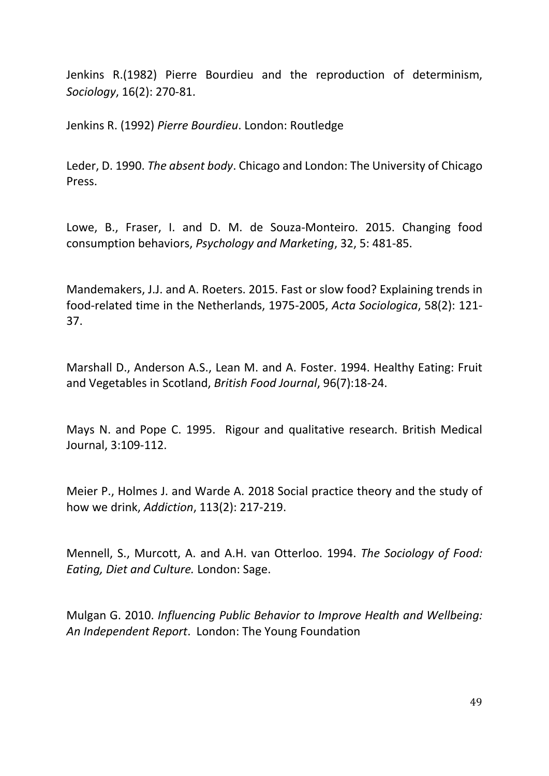Jenkins R.(1982) Pierre Bourdieu and the reproduction of determinism, *Sociology*, 16(2): 270-81.

Jenkins R. (1992) *Pierre Bourdieu*. London: Routledge

Leder, D. 1990. *The absent body*. Chicago and London: The University of Chicago Press.

Lowe, B., Fraser, I. and D. M. de Souza-Monteiro. 2015. Changing food consumption behaviors, *Psychology and Marketing*, 32, 5: 481-85.

Mandemakers, J.J. and A. Roeters. 2015. Fast or slow food? Explaining trends in food-related time in the Netherlands, 1975-2005, *Acta Sociologica*, 58(2): 121- 37.

Marshall D., Anderson A.S., Lean M. and A. Foster. 1994. Healthy Eating: Fruit and Vegetables in Scotland, *British Food Journal*, 96(7):18-24.

Mays N. and Pope C. 1995. Rigour and qualitative research. British Medical Journal, 3:109-112.

Meier P., Holmes J. and Warde A. 2018 Social practice theory and the study of how we drink, *Addiction*, 113(2): 217-219.

Mennell, S., Murcott, A. and A.H. van Otterloo. 1994. *The Sociology of Food: Eating, Diet and Culture.* London: Sage.

Mulgan G. 2010. *Influencing Public Behavior to Improve Health and Wellbeing: An Independent Report*. London: The Young Foundation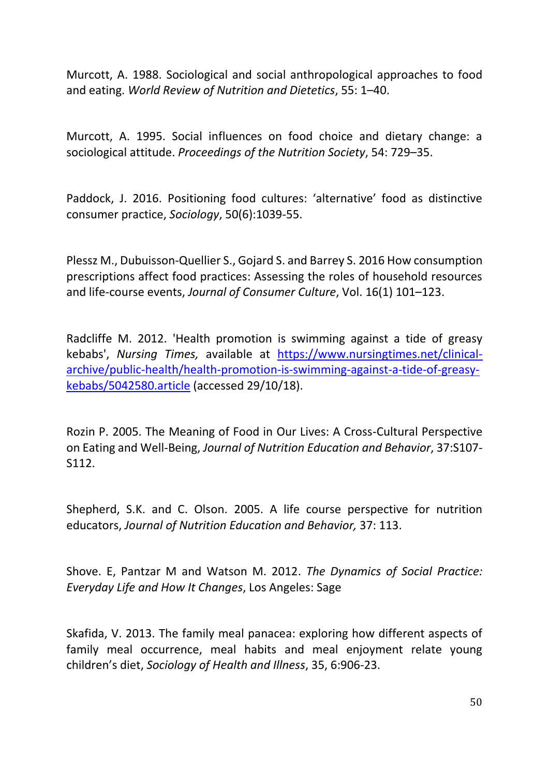Murcott, A. 1988. Sociological and social anthropological approaches to food and eating. *World Review of Nutrition and Dietetics*, 55: 1–40.

Murcott, A. 1995. Social influences on food choice and dietary change: a sociological attitude. *Proceedings of the Nutrition Society*, 54: 729–35.

Paddock, J. 2016. Positioning food cultures: 'alternative' food as distinctive consumer practice, *Sociology*, 50(6):1039-55.

Plessz M., Dubuisson-Quellier S., Gojard S. and Barrey S. 2016 How consumption prescriptions affect food practices: Assessing the roles of household resources and life-course events, *Journal of Consumer Culture*, Vol. 16(1) 101–123.

Radcliffe M. 2012. 'Health promotion is swimming against a tide of greasy kebabs', *Nursing Times,* available at [https://www.nursingtimes.net/clinical](https://www.nursingtimes.net/clinical-archive/public-health/health-promotion-is-swimming-against-a-tide-of-greasy-kebabs/5042580.article)[archive/public-health/health-promotion-is-swimming-against-a-tide-of-greasy](https://www.nursingtimes.net/clinical-archive/public-health/health-promotion-is-swimming-against-a-tide-of-greasy-kebabs/5042580.article)[kebabs/5042580.article](https://www.nursingtimes.net/clinical-archive/public-health/health-promotion-is-swimming-against-a-tide-of-greasy-kebabs/5042580.article) (accessed 29/10/18).

Rozin P. 2005. The Meaning of Food in Our Lives: A Cross-Cultural Perspective on Eating and Well-Being, *Journal of Nutrition Education and Behavior*, 37:S107- S112.

Shepherd, S.K. and C. Olson. 2005. A life course perspective for nutrition educators, *Journal of Nutrition Education and Behavior,* 37: 113.

Shove. E, Pantzar M and Watson M. 2012. *The Dynamics of Social Practice: Everyday Life and How It Changes*, Los Angeles: Sage

Skafida, V. 2013. The family meal panacea: exploring how different aspects of family meal occurrence, meal habits and meal enjoyment relate young children's diet, *Sociology of Health and Illness*, 35, 6:906-23.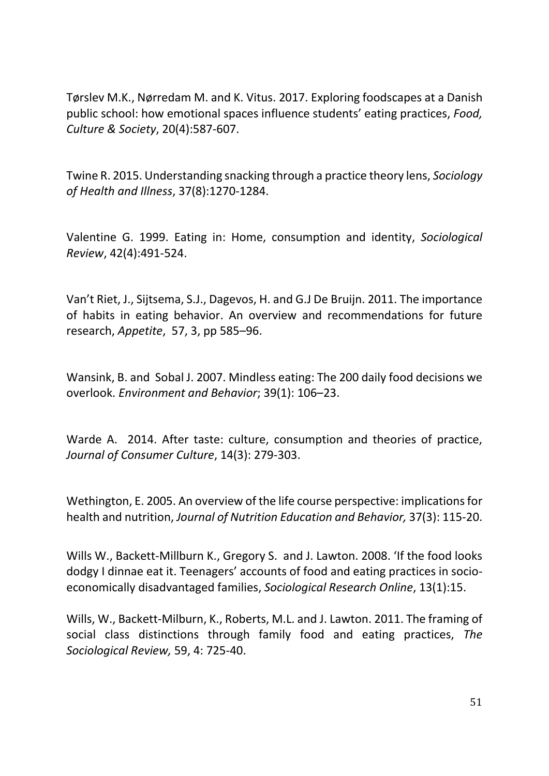Tørslev M.K., Nørredam M. and K. Vitus. 2017. Exploring foodscapes at a Danish public school: how emotional spaces influence students' eating practices, *Food, Culture & Society*, 20(4):587-607.

Twine R. 2015. Understanding snacking through a practice theory lens, *Sociology of Health and Illness*, 37(8):1270-1284.

Valentine G. 1999. Eating in: Home, consumption and identity, *Sociological Review*, 42(4):491-524.

Van't Riet, J., Sijtsema, S.J., Dagevos, H. and G.J De Bruijn. 2011. The importance of habits in eating behavior. An overview and recommendations for future research, *Appetite*, 57, 3, pp 585–96.

Wansink, B. and Sobal J. 2007. Mindless eating: The 200 daily food decisions we overlook. *Environment and Behavior*; 39(1): 106–23.

Warde A. 2014. After taste: culture, consumption and theories of practice, *Journal of Consumer Culture*, 14(3): 279-303.

Wethington, E. 2005. An overview of the life course perspective: implications for health and nutrition, *Journal of Nutrition Education and Behavior,* 37(3): 115-20.

Wills W., Backett-Millburn K., Gregory S. and J. Lawton. 2008. 'If the food looks dodgy I dinnae eat it. Teenagers' accounts of food and eating practices in socioeconomically disadvantaged families, *Sociological Research Online*, 13(1):15.

Wills, W., Backett-Milburn, K., Roberts, M.L. and J. Lawton. 2011. The framing of social class distinctions through family food and eating practices, *The Sociological Review,* 59, 4: 725-40.